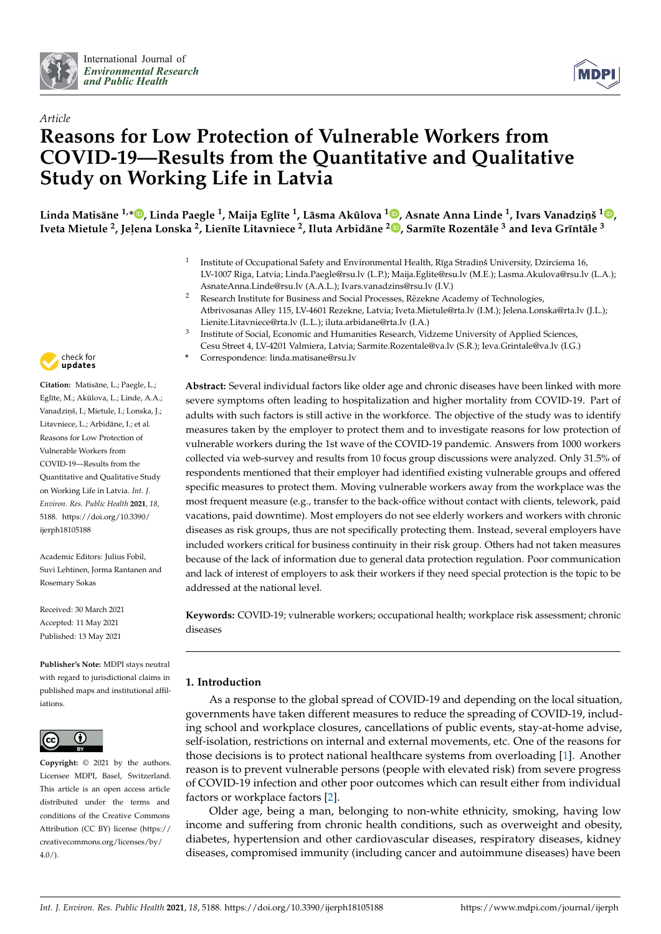



# *Article* **Reasons for Low Protection of Vulnerable Workers from COVID-19—Results from the Quantitative and Qualitative Study on Working Life in Latvia**

Linda Matisāne <sup>1[,](https://orcid.org/0000-0002-5391-1583)</sup>\*®, Linda Paegle <sup>1</sup>, Maija Eglīte <sup>1</sup>, Lāsma Akūlova <sup>1</sup>®, Asnate Anna Linde <sup>1</sup>, Ivars Vanadziņš <sup>1</sup>®, Iveta Mietule <sup>2</sup>[,](https://orcid.org/0000-0002-9762-3874) Jeļena Lonska <sup>2</sup>, Lienīte Litavniece <sup>2</sup>, Iluta Arbidāne <sup>2</sup>®, Sarmīte Rozentāle <sup>3</sup> and Ieva Grīntāle <sup>3</sup>

- 1 Institute of Occupational Safety and Environmental Health, Rīga Stradiņš University, Dzirciema 16, LV-1007 Riga, Latvia; Linda.Paegle@rsu.lv (L.P.); Maija.Eglite@rsu.lv (M.E.); Lasma.Akulova@rsu.lv (L.A.); AsnateAnna.Linde@rsu.lv (A.A.L.); Ivars.vanadzins@rsu.lv (I.V.)
- <sup>2</sup> Research Institute for Business and Social Processes, Rezekne Academy of Technologies, Atbrivosanas Alley 115, LV-4601 Rezekne, Latvia; Iveta.Mietule@rta.lv (I.M.); Jelena.Lonska@rta.lv (J.L.); Lienite.Litavniece@rta.lv (L.L.); iluta.arbidane@rta.lv (I.A.)
- 3 Institute of Social, Economic and Humanities Research, Vidzeme University of Applied Sciences, Cesu Street 4, LV-4201 Valmiera, Latvia; Sarmite.Rozentale@va.lv (S.R.); Ieva.Grintale@va.lv (I.G.)
- **\*** Correspondence: linda.matisane@rsu.lv

**Abstract:** Several individual factors like older age and chronic diseases have been linked with more severe symptoms often leading to hospitalization and higher mortality from COVID-19. Part of adults with such factors is still active in the workforce. The objective of the study was to identify measures taken by the employer to protect them and to investigate reasons for low protection of vulnerable workers during the 1st wave of the COVID-19 pandemic. Answers from 1000 workers collected via web-survey and results from 10 focus group discussions were analyzed. Only 31.5% of respondents mentioned that their employer had identified existing vulnerable groups and offered specific measures to protect them. Moving vulnerable workers away from the workplace was the most frequent measure (e.g., transfer to the back-office without contact with clients, telework, paid vacations, paid downtime). Most employers do not see elderly workers and workers with chronic diseases as risk groups, thus are not specifically protecting them. Instead, several employers have included workers critical for business continuity in their risk group. Others had not taken measures because of the lack of information due to general data protection regulation. Poor communication and lack of interest of employers to ask their workers if they need special protection is the topic to be addressed at the national level.

**Keywords:** COVID-19; vulnerable workers; occupational health; workplace risk assessment; chronic diseases

## **1. Introduction**

As a response to the global spread of COVID-19 and depending on the local situation, governments have taken different measures to reduce the spreading of COVID-19, including school and workplace closures, cancellations of public events, stay-at-home advise, self-isolation, restrictions on internal and external movements, etc. One of the reasons for those decisions is to protect national healthcare systems from overloading [\[1\]](#page-18-0). Another reason is to prevent vulnerable persons (people with elevated risk) from severe progress of COVID-19 infection and other poor outcomes which can result either from individual factors or workplace factors [\[2\]](#page-19-0).

Older age, being a man, belonging to non-white ethnicity, smoking, having low income and suffering from chronic health conditions, such as overweight and obesity, diabetes, hypertension and other cardiovascular diseases, respiratory diseases, kidney diseases, compromised immunity (including cancer and autoimmune diseases) have been



Citation: Matisane, L.; Paegle, L.; Eglīte, M.; Akūlova, L.; Linde, A.A.; Vanadziņš, I.; Mietule, I.; Lonska, J.; Litavniece, L.; Arbidāne, I.; et al. Reasons for Low Protection of Vulnerable Workers from COVID-19—Results from the Quantitative and Qualitative Study on Working Life in Latvia. *Int. J. Environ. Res. Public Health* **2021**, *18*, 5188. [https://doi.org/10.3390/](https://doi.org/10.3390/ijerph18105188) [ijerph18105188](https://doi.org/10.3390/ijerph18105188)

Academic Editors: Julius Fobil, Suvi Lehtinen, Jorma Rantanen and Rosemary Sokas

Received: 30 March 2021 Accepted: 11 May 2021 Published: 13 May 2021

**Publisher's Note:** MDPI stays neutral with regard to jurisdictional claims in published maps and institutional affiliations.



**Copyright:** © 2021 by the authors. Licensee MDPI, Basel, Switzerland. This article is an open access article distributed under the terms and conditions of the Creative Commons Attribution (CC BY) license (https:/[/](https://creativecommons.org/licenses/by/4.0/) [creativecommons.org/licenses/by/](https://creativecommons.org/licenses/by/4.0/)  $4.0/$ ).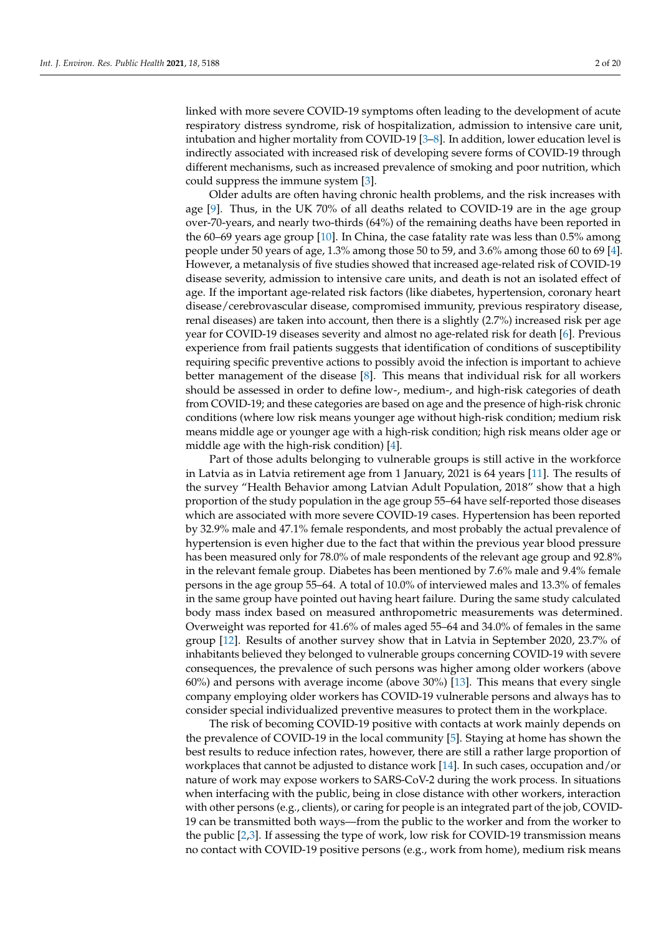linked with more severe COVID-19 symptoms often leading to the development of acute respiratory distress syndrome, risk of hospitalization, admission to intensive care unit, intubation and higher mortality from COVID-19 [\[3–](#page-19-1)[8\]](#page-19-2). In addition, lower education level is indirectly associated with increased risk of developing severe forms of COVID-19 through different mechanisms, such as increased prevalence of smoking and poor nutrition, which could suppress the immune system [\[3\]](#page-19-1).

Older adults are often having chronic health problems, and the risk increases with age [\[9\]](#page-19-3). Thus, in the UK 70% of all deaths related to COVID-19 are in the age group over-70-years, and nearly two-thirds (64%) of the remaining deaths have been reported in the 60–69 years age group [\[10\]](#page-19-4). In China, the case fatality rate was less than 0.5% among people under 50 years of age, 1.3% among those 50 to 59, and 3.6% among those 60 to 69 [\[4\]](#page-19-5). However, a metanalysis of five studies showed that increased age-related risk of COVID-19 disease severity, admission to intensive care units, and death is not an isolated effect of age. If the important age-related risk factors (like diabetes, hypertension, coronary heart disease/cerebrovascular disease, compromised immunity, previous respiratory disease, renal diseases) are taken into account, then there is a slightly (2.7%) increased risk per age year for COVID-19 diseases severity and almost no age-related risk for death [\[6\]](#page-19-6). Previous experience from frail patients suggests that identification of conditions of susceptibility requiring specific preventive actions to possibly avoid the infection is important to achieve better management of the disease [\[8\]](#page-19-2). This means that individual risk for all workers should be assessed in order to define low-, medium-, and high-risk categories of death from COVID-19; and these categories are based on age and the presence of high-risk chronic conditions (where low risk means younger age without high-risk condition; medium risk means middle age or younger age with a high-risk condition; high risk means older age or middle age with the high-risk condition) [\[4\]](#page-19-5).

Part of those adults belonging to vulnerable groups is still active in the workforce in Latvia as in Latvia retirement age from 1 January, 2021 is 64 years [\[11\]](#page-19-7). The results of the survey "Health Behavior among Latvian Adult Population, 2018" show that a high proportion of the study population in the age group 55–64 have self-reported those diseases which are associated with more severe COVID-19 cases. Hypertension has been reported by 32.9% male and 47.1% female respondents, and most probably the actual prevalence of hypertension is even higher due to the fact that within the previous year blood pressure has been measured only for 78.0% of male respondents of the relevant age group and 92.8% in the relevant female group. Diabetes has been mentioned by 7.6% male and 9.4% female persons in the age group 55–64. A total of 10.0% of interviewed males and 13.3% of females in the same group have pointed out having heart failure. During the same study calculated body mass index based on measured anthropometric measurements was determined. Overweight was reported for 41.6% of males aged 55–64 and 34.0% of females in the same group [\[12\]](#page-19-8). Results of another survey show that in Latvia in September 2020, 23.7% of inhabitants believed they belonged to vulnerable groups concerning COVID-19 with severe consequences, the prevalence of such persons was higher among older workers (above 60%) and persons with average income (above 30%) [\[13\]](#page-19-9). This means that every single company employing older workers has COVID-19 vulnerable persons and always has to consider special individualized preventive measures to protect them in the workplace.

The risk of becoming COVID-19 positive with contacts at work mainly depends on the prevalence of COVID-19 in the local community [\[5\]](#page-19-10). Staying at home has shown the best results to reduce infection rates, however, there are still a rather large proportion of workplaces that cannot be adjusted to distance work [\[14\]](#page-19-11). In such cases, occupation and/or nature of work may expose workers to SARS-CoV-2 during the work process. In situations when interfacing with the public, being in close distance with other workers, interaction with other persons (e.g., clients), or caring for people is an integrated part of the job, COVID-19 can be transmitted both ways—from the public to the worker and from the worker to the public [\[2,](#page-19-0)[3\]](#page-19-1). If assessing the type of work, low risk for COVID-19 transmission means no contact with COVID-19 positive persons (e.g., work from home), medium risk means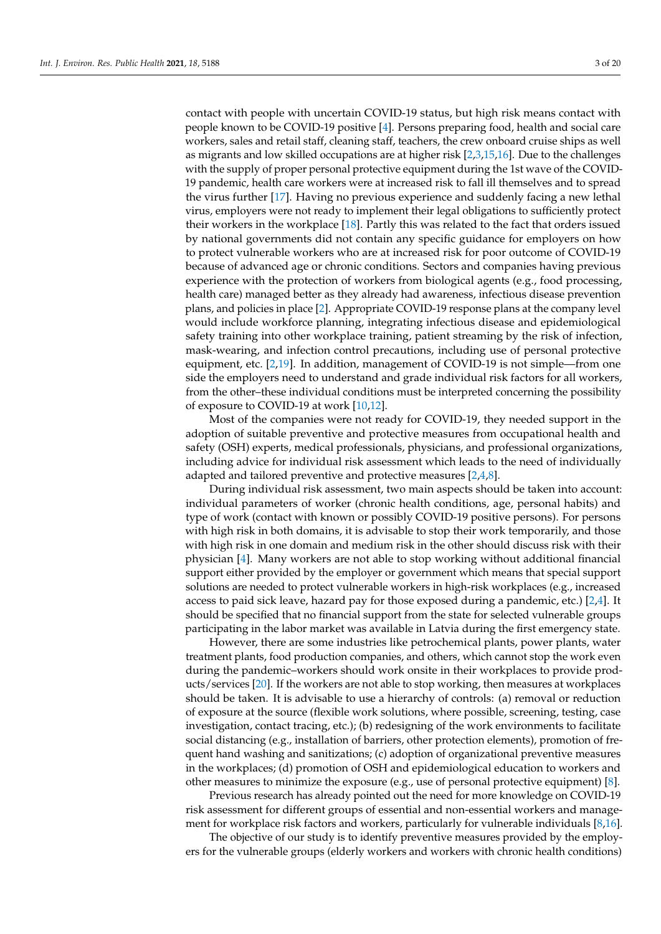contact with people with uncertain COVID-19 status, but high risk means contact with people known to be COVID-19 positive [\[4\]](#page-19-5). Persons preparing food, health and social care workers, sales and retail staff, cleaning staff, teachers, the crew onboard cruise ships as well as migrants and low skilled occupations are at higher risk [\[2](#page-19-0)[,3](#page-19-1)[,15,](#page-19-12)[16\]](#page-19-13). Due to the challenges with the supply of proper personal protective equipment during the 1st wave of the COVID-19 pandemic, health care workers were at increased risk to fall ill themselves and to spread the virus further [\[17\]](#page-19-14). Having no previous experience and suddenly facing a new lethal virus, employers were not ready to implement their legal obligations to sufficiently protect their workers in the workplace [\[18\]](#page-19-15). Partly this was related to the fact that orders issued by national governments did not contain any specific guidance for employers on how to protect vulnerable workers who are at increased risk for poor outcome of COVID-19 because of advanced age or chronic conditions. Sectors and companies having previous experience with the protection of workers from biological agents (e.g., food processing, health care) managed better as they already had awareness, infectious disease prevention plans, and policies in place [\[2\]](#page-19-0). Appropriate COVID-19 response plans at the company level would include workforce planning, integrating infectious disease and epidemiological safety training into other workplace training, patient streaming by the risk of infection, mask-wearing, and infection control precautions, including use of personal protective equipment, etc. [\[2,](#page-19-0)[19\]](#page-19-16). In addition, management of COVID-19 is not simple—from one side the employers need to understand and grade individual risk factors for all workers, from the other–these individual conditions must be interpreted concerning the possibility of exposure to COVID-19 at work [\[10](#page-19-4)[,12\]](#page-19-8).

Most of the companies were not ready for COVID-19, they needed support in the adoption of suitable preventive and protective measures from occupational health and safety (OSH) experts, medical professionals, physicians, and professional organizations, including advice for individual risk assessment which leads to the need of individually adapted and tailored preventive and protective measures [\[2](#page-19-0)[,4](#page-19-5)[,8\]](#page-19-2).

During individual risk assessment, two main aspects should be taken into account: individual parameters of worker (chronic health conditions, age, personal habits) and type of work (contact with known or possibly COVID-19 positive persons). For persons with high risk in both domains, it is advisable to stop their work temporarily, and those with high risk in one domain and medium risk in the other should discuss risk with their physician [\[4\]](#page-19-5). Many workers are not able to stop working without additional financial support either provided by the employer or government which means that special support solutions are needed to protect vulnerable workers in high-risk workplaces (e.g., increased access to paid sick leave, hazard pay for those exposed during a pandemic, etc.) [\[2](#page-19-0)[,4\]](#page-19-5). It should be specified that no financial support from the state for selected vulnerable groups participating in the labor market was available in Latvia during the first emergency state.

However, there are some industries like petrochemical plants, power plants, water treatment plants, food production companies, and others, which cannot stop the work even during the pandemic–workers should work onsite in their workplaces to provide products/services [\[20\]](#page-19-17). If the workers are not able to stop working, then measures at workplaces should be taken. It is advisable to use a hierarchy of controls: (a) removal or reduction of exposure at the source (flexible work solutions, where possible, screening, testing, case investigation, contact tracing, etc.); (b) redesigning of the work environments to facilitate social distancing (e.g., installation of barriers, other protection elements), promotion of frequent hand washing and sanitizations; (c) adoption of organizational preventive measures in the workplaces; (d) promotion of OSH and epidemiological education to workers and other measures to minimize the exposure (e.g., use of personal protective equipment) [\[8\]](#page-19-2).

Previous research has already pointed out the need for more knowledge on COVID-19 risk assessment for different groups of essential and non-essential workers and management for workplace risk factors and workers, particularly for vulnerable individuals [\[8](#page-19-2)[,16\]](#page-19-13).

The objective of our study is to identify preventive measures provided by the employers for the vulnerable groups (elderly workers and workers with chronic health conditions)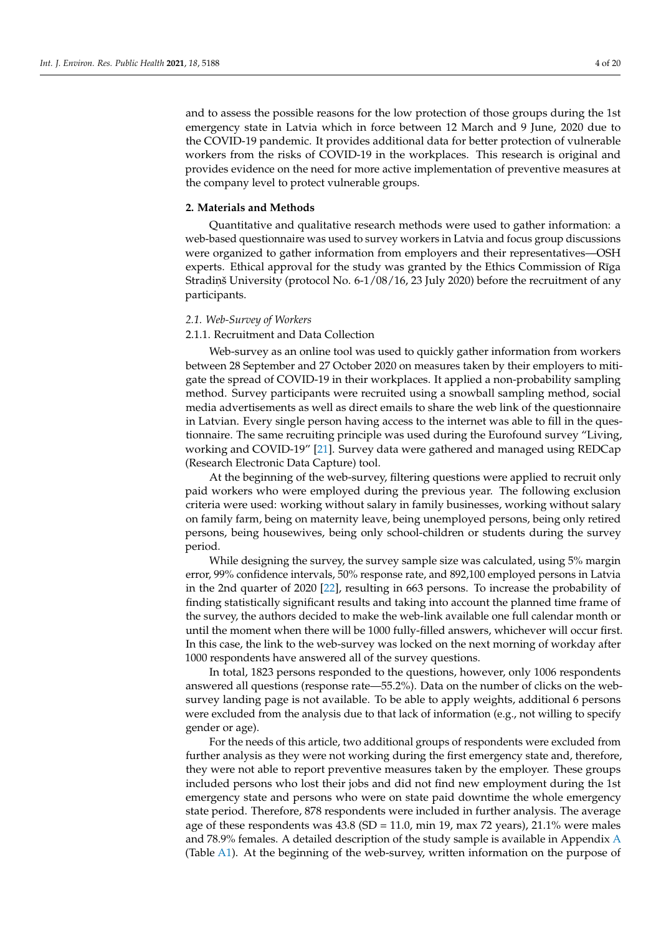and to assess the possible reasons for the low protection of those groups during the 1st emergency state in Latvia which in force between 12 March and 9 June, 2020 due to the COVID-19 pandemic. It provides additional data for better protection of vulnerable workers from the risks of COVID-19 in the workplaces. This research is original and provides evidence on the need for more active implementation of preventive measures at the company level to protect vulnerable groups.

#### **2. Materials and Methods**

Quantitative and qualitative research methods were used to gather information: a web-based questionnaire was used to survey workers in Latvia and focus group discussions were organized to gather information from employers and their representatives—OSH experts. Ethical approval for the study was granted by the Ethics Commission of Rīga Stradin, š University (protocol No. 6-1/08/16, 23 July 2020) before the recruitment of any participants.

## *2.1. Web-Survey of Workers*

## 2.1.1. Recruitment and Data Collection

Web-survey as an online tool was used to quickly gather information from workers between 28 September and 27 October 2020 on measures taken by their employers to mitigate the spread of COVID-19 in their workplaces. It applied a non-probability sampling method. Survey participants were recruited using a snowball sampling method, social media advertisements as well as direct emails to share the web link of the questionnaire in Latvian. Every single person having access to the internet was able to fill in the questionnaire. The same recruiting principle was used during the Eurofound survey "Living, working and COVID-19" [\[21\]](#page-19-18). Survey data were gathered and managed using REDCap (Research Electronic Data Capture) tool.

At the beginning of the web-survey, filtering questions were applied to recruit only paid workers who were employed during the previous year. The following exclusion criteria were used: working without salary in family businesses, working without salary on family farm, being on maternity leave, being unemployed persons, being only retired persons, being housewives, being only school-children or students during the survey period.

While designing the survey, the survey sample size was calculated, using 5% margin error, 99% confidence intervals, 50% response rate, and 892,100 employed persons in Latvia in the 2nd quarter of 2020 [\[22\]](#page-19-19), resulting in 663 persons. To increase the probability of finding statistically significant results and taking into account the planned time frame of the survey, the authors decided to make the web-link available one full calendar month or until the moment when there will be 1000 fully-filled answers, whichever will occur first. In this case, the link to the web-survey was locked on the next morning of workday after 1000 respondents have answered all of the survey questions.

In total, 1823 persons responded to the questions, however, only 1006 respondents answered all questions (response rate—55.2%). Data on the number of clicks on the websurvey landing page is not available. To be able to apply weights, additional 6 persons were excluded from the analysis due to that lack of information (e.g., not willing to specify gender or age).

For the needs of this article, two additional groups of respondents were excluded from further analysis as they were not working during the first emergency state and, therefore, they were not able to report preventive measures taken by the employer. These groups included persons who lost their jobs and did not find new employment during the 1st emergency state and persons who were on state paid downtime the whole emergency state period. Therefore, 878 respondents were included in further analysis. The average age of these respondents was  $43.8$  (SD = 11.0, min 19, max 72 years), 21.1% were males and 78.9% females. A detailed description of the study sample is available in Appendix [A](#page-14-0) (Table [A1\)](#page-14-1). At the beginning of the web-survey, written information on the purpose of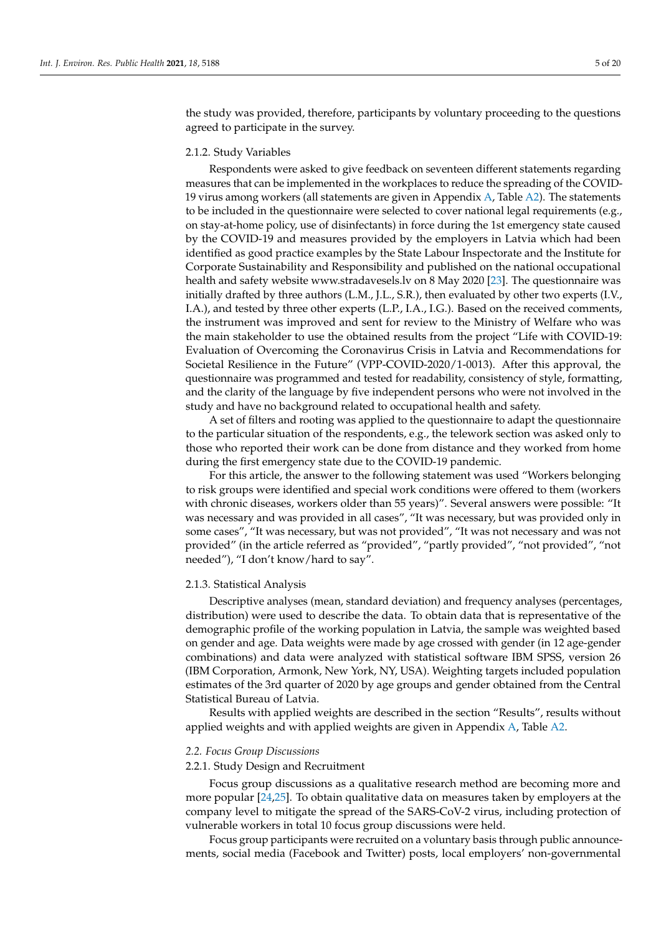the study was provided, therefore, participants by voluntary proceeding to the questions agreed to participate in the survey.

## 2.1.2. Study Variables

Respondents were asked to give feedback on seventeen different statements regarding measures that can be implemented in the workplaces to reduce the spreading of the COVID-19 virus among workers (all statements are given in Appendix [A,](#page-14-0) Table [A2\)](#page-15-0). The statements to be included in the questionnaire were selected to cover national legal requirements (e.g., on stay-at-home policy, use of disinfectants) in force during the 1st emergency state caused by the COVID-19 and measures provided by the employers in Latvia which had been identified as good practice examples by the State Labour Inspectorate and the Institute for Corporate Sustainability and Responsibility and published on the national occupational health and safety website www.stradavesels.lv on 8 May 2020 [\[23\]](#page-19-20). The questionnaire was initially drafted by three authors (L.M., J.L., S.R.), then evaluated by other two experts (I.V., I.A.), and tested by three other experts (L.P., I.A., I.G.). Based on the received comments, the instrument was improved and sent for review to the Ministry of Welfare who was the main stakeholder to use the obtained results from the project "Life with COVID-19: Evaluation of Overcoming the Coronavirus Crisis in Latvia and Recommendations for Societal Resilience in the Future" (VPP-COVID-2020/1-0013). After this approval, the questionnaire was programmed and tested for readability, consistency of style, formatting, and the clarity of the language by five independent persons who were not involved in the study and have no background related to occupational health and safety.

A set of filters and rooting was applied to the questionnaire to adapt the questionnaire to the particular situation of the respondents, e.g., the telework section was asked only to those who reported their work can be done from distance and they worked from home during the first emergency state due to the COVID-19 pandemic.

For this article, the answer to the following statement was used "Workers belonging to risk groups were identified and special work conditions were offered to them (workers with chronic diseases, workers older than 55 years)". Several answers were possible: "It was necessary and was provided in all cases", "It was necessary, but was provided only in some cases", "It was necessary, but was not provided", "It was not necessary and was not provided" (in the article referred as "provided", "partly provided", "not provided", "not needed"), "I don't know/hard to say".

#### 2.1.3. Statistical Analysis

Descriptive analyses (mean, standard deviation) and frequency analyses (percentages, distribution) were used to describe the data. To obtain data that is representative of the demographic profile of the working population in Latvia, the sample was weighted based on gender and age. Data weights were made by age crossed with gender (in 12 age-gender combinations) and data were analyzed with statistical software IBM SPSS, version 26 (IBM Corporation, Armonk, New York, NY, USA). Weighting targets included population estimates of the 3rd quarter of 2020 by age groups and gender obtained from the Central Statistical Bureau of Latvia.

Results with applied weights are described in the section "Results", results without applied weights and with applied weights are given in Appendix [A,](#page-14-0) Table [A2.](#page-15-0)

#### *2.2. Focus Group Discussions*

#### 2.2.1. Study Design and Recruitment

Focus group discussions as a qualitative research method are becoming more and more popular [\[24](#page-19-21)[,25\]](#page-19-22). To obtain qualitative data on measures taken by employers at the company level to mitigate the spread of the SARS-CoV-2 virus, including protection of vulnerable workers in total 10 focus group discussions were held.

Focus group participants were recruited on a voluntary basis through public announcements, social media (Facebook and Twitter) posts, local employers' non-governmental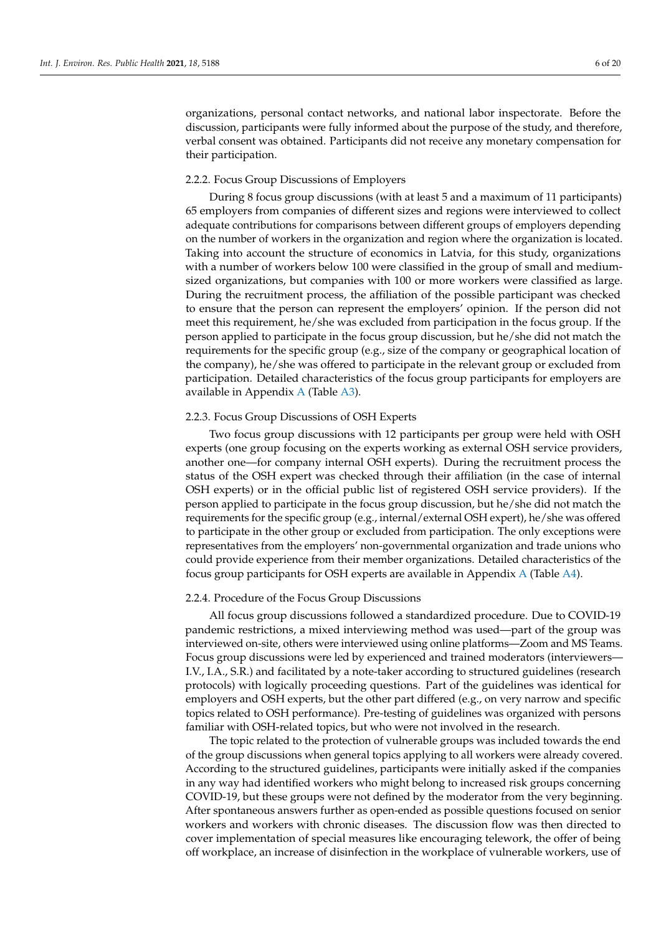organizations, personal contact networks, and national labor inspectorate. Before the discussion, participants were fully informed about the purpose of the study, and therefore, verbal consent was obtained. Participants did not receive any monetary compensation for their participation.

## 2.2.2. Focus Group Discussions of Employers

During 8 focus group discussions (with at least 5 and a maximum of 11 participants) 65 employers from companies of different sizes and regions were interviewed to collect adequate contributions for comparisons between different groups of employers depending on the number of workers in the organization and region where the organization is located. Taking into account the structure of economics in Latvia, for this study, organizations with a number of workers below 100 were classified in the group of small and mediumsized organizations, but companies with 100 or more workers were classified as large. During the recruitment process, the affiliation of the possible participant was checked to ensure that the person can represent the employers' opinion. If the person did not meet this requirement, he/she was excluded from participation in the focus group. If the person applied to participate in the focus group discussion, but he/she did not match the requirements for the specific group (e.g., size of the company or geographical location of the company), he/she was offered to participate in the relevant group or excluded from participation. Detailed characteristics of the focus group participants for employers are available in Appendix [A](#page-14-0) (Table [A3\)](#page-16-0).

## 2.2.3. Focus Group Discussions of OSH Experts

Two focus group discussions with 12 participants per group were held with OSH experts (one group focusing on the experts working as external OSH service providers, another one—for company internal OSH experts). During the recruitment process the status of the OSH expert was checked through their affiliation (in the case of internal OSH experts) or in the official public list of registered OSH service providers). If the person applied to participate in the focus group discussion, but he/she did not match the requirements for the specific group (e.g., internal/external OSH expert), he/she was offered to participate in the other group or excluded from participation. The only exceptions were representatives from the employers' non-governmental organization and trade unions who could provide experience from their member organizations. Detailed characteristics of the focus group participants for OSH experts are available in Appendix [A](#page-14-0) (Table [A4\)](#page-17-0).

## 2.2.4. Procedure of the Focus Group Discussions

All focus group discussions followed a standardized procedure. Due to COVID-19 pandemic restrictions, a mixed interviewing method was used—part of the group was interviewed on-site, others were interviewed using online platforms—Zoom and MS Teams. Focus group discussions were led by experienced and trained moderators (interviewers— I.V., I.A., S.R.) and facilitated by a note-taker according to structured guidelines (research protocols) with logically proceeding questions. Part of the guidelines was identical for employers and OSH experts, but the other part differed (e.g., on very narrow and specific topics related to OSH performance). Pre-testing of guidelines was organized with persons familiar with OSH-related topics, but who were not involved in the research.

The topic related to the protection of vulnerable groups was included towards the end of the group discussions when general topics applying to all workers were already covered. According to the structured guidelines, participants were initially asked if the companies in any way had identified workers who might belong to increased risk groups concerning COVID-19, but these groups were not defined by the moderator from the very beginning. After spontaneous answers further as open-ended as possible questions focused on senior workers and workers with chronic diseases. The discussion flow was then directed to cover implementation of special measures like encouraging telework, the offer of being off workplace, an increase of disinfection in the workplace of vulnerable workers, use of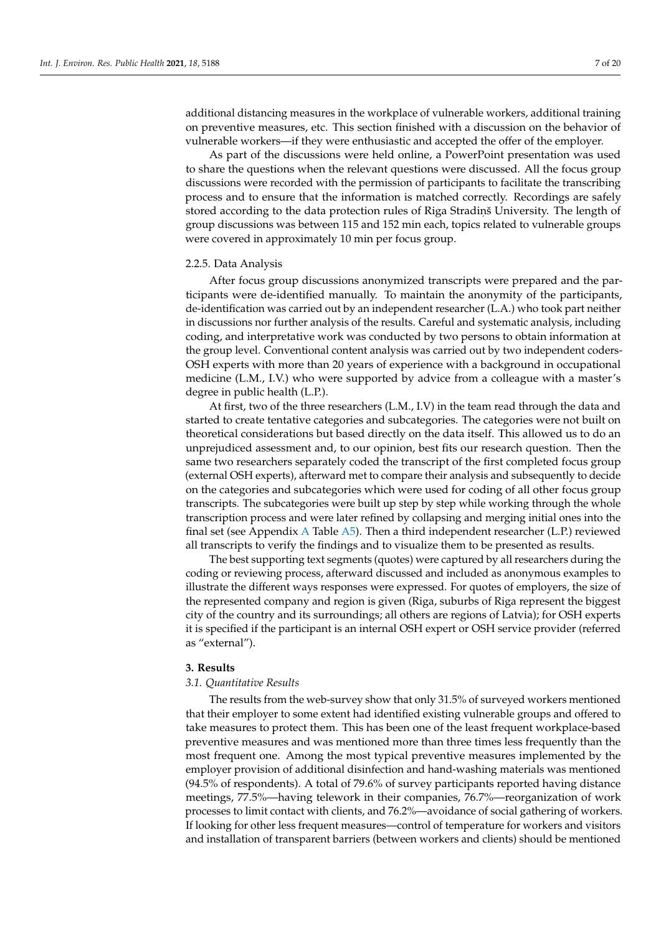additional distancing measures in the workplace of vulnerable workers, additional training on preventive measures, etc. This section finished with a discussion on the behavior of vulnerable workers—if they were enthusiastic and accepted the offer of the employer.

As part of the discussions were held online, a PowerPoint presentation was used to share the questions when the relevant questions were discussed. All the focus group discussions were recorded with the permission of participants to facilitate the transcribing process and to ensure that the information is matched correctly. Recordings are safely stored according to the data protection rules of Riga Stradin, University. The length of group discussions was between 115 and 152 min each, topics related to vulnerable groups were covered in approximately 10 min per focus group.

#### 2.2.5. Data Analysis

After focus group discussions anonymized transcripts were prepared and the participants were de-identified manually. To maintain the anonymity of the participants, de-identification was carried out by an independent researcher (L.A.) who took part neither in discussions nor further analysis of the results. Careful and systematic analysis, including coding, and interpretative work was conducted by two persons to obtain information at the group level. Conventional content analysis was carried out by two independent coders-OSH experts with more than 20 years of experience with a background in occupational medicine (L.M., I.V.) who were supported by advice from a colleague with a master's degree in public health (L.P.).

At first, two of the three researchers (L.M., I.V) in the team read through the data and started to create tentative categories and subcategories. The categories were not built on theoretical considerations but based directly on the data itself. This allowed us to do an unprejudiced assessment and, to our opinion, best fits our research question. Then the same two researchers separately coded the transcript of the first completed focus group (external OSH experts), afterward met to compare their analysis and subsequently to decide on the categories and subcategories which were used for coding of all other focus group transcripts. The subcategories were built up step by step while working through the whole transcription process and were later refined by collapsing and merging initial ones into the final set (see [A](#page-14-0)ppendix A Table  $\overline{A5}$ ). Then a third independent researcher (L.P.) reviewed all transcripts to verify the findings and to visualize them to be presented as results.

The best supporting text segments (quotes) were captured by all researchers during the coding or reviewing process, afterward discussed and included as anonymous examples to illustrate the different ways responses were expressed. For quotes of employers, the size of the represented company and region is given (Riga, suburbs of Riga represent the biggest city of the country and its surroundings; all others are regions of Latvia); for OSH experts it is specified if the participant is an internal OSH expert or OSH service provider (referred as "external").

#### **3. Results**

#### *3.1. Quantitative Results*

The results from the web-survey show that only 31.5% of surveyed workers mentioned that their employer to some extent had identified existing vulnerable groups and offered to take measures to protect them. This has been one of the least frequent workplace-based preventive measures and was mentioned more than three times less frequently than the most frequent one. Among the most typical preventive measures implemented by the employer provision of additional disinfection and hand-washing materials was mentioned (94.5% of respondents). A total of 79.6% of survey participants reported having distance meetings, 77.5%—having telework in their companies, 76.7%—reorganization of work processes to limit contact with clients, and 76.2%—avoidance of social gathering of workers. If looking for other less frequent measures—control of temperature for workers and visitors and installation of transparent barriers (between workers and clients) should be mentioned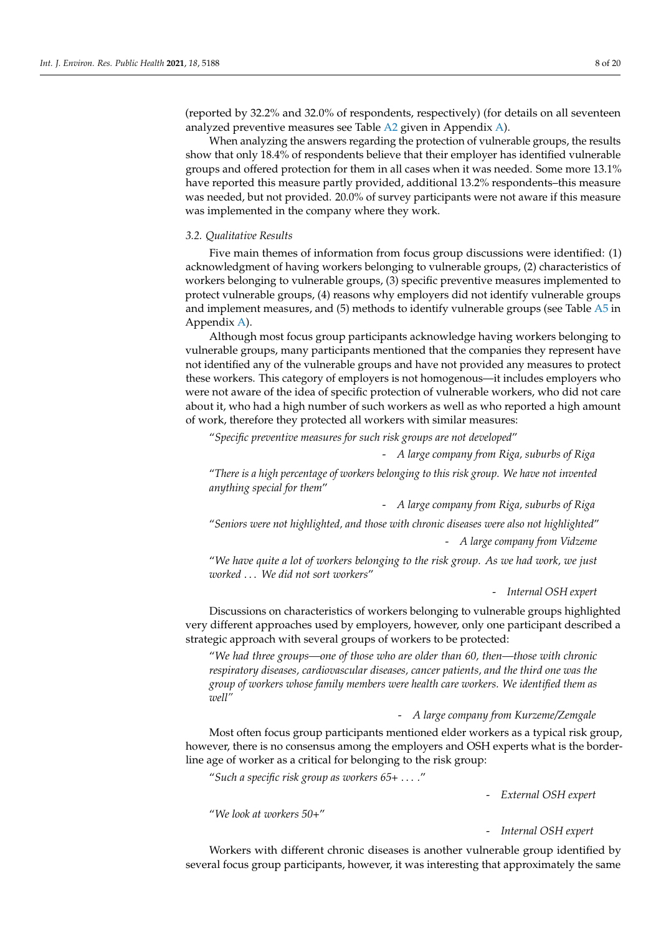(reported by 32.2% and 32.0% of respondents, respectively) (for details on all seventeen analyzed preventive measures see Table [A2](#page-15-0) given in Appendix [A\)](#page-14-0).

When analyzing the answers regarding the protection of vulnerable groups, the results show that only 18.4% of respondents believe that their employer has identified vulnerable groups and offered protection for them in all cases when it was needed. Some more 13.1% have reported this measure partly provided, additional 13.2% respondents–this measure was needed, but not provided. 20.0% of survey participants were not aware if this measure was implemented in the company where they work.

#### *3.2. Qualitative Results*

Five main themes of information from focus group discussions were identified: (1) acknowledgment of having workers belonging to vulnerable groups, (2) characteristics of workers belonging to vulnerable groups, (3) specific preventive measures implemented to protect vulnerable groups, (4) reasons why employers did not identify vulnerable groups and implement measures, and (5) methods to identify vulnerable groups (see Table [A5](#page-18-1) in Appendix [A\)](#page-14-0).

Although most focus group participants acknowledge having workers belonging to vulnerable groups, many participants mentioned that the companies they represent have not identified any of the vulnerable groups and have not provided any measures to protect these workers. This category of employers is not homogenous—it includes employers who were not aware of the idea of specific protection of vulnerable workers, who did not care about it, who had a high number of such workers as well as who reported a high amount of work, therefore they protected all workers with similar measures:

"*Specific preventive measures for such risk groups are not developed*"

- *A large company from Riga, suburbs of Riga*

"*There is a high percentage of workers belonging to this risk group. We have not invented anything special for them*"

- *A large company from Riga, suburbs of Riga*

"*Seniors were not highlighted, and those with chronic diseases were also not highlighted*" - *A large company from Vidzeme*

"*We have quite a lot of workers belonging to the risk group. As we had work, we just worked* . . . *We did not sort workers*"

- *Internal OSH expert*

Discussions on characteristics of workers belonging to vulnerable groups highlighted very different approaches used by employers, however, only one participant described a strategic approach with several groups of workers to be protected:

"*We had three groups—one of those who are older than 60, then—those with chronic respiratory diseases, cardiovascular diseases, cancer patients, and the third one was the group of workers whose family members were health care workers. We identified them as well"*

#### - *A large company from Kurzeme/Zemgale*

Most often focus group participants mentioned elder workers as a typical risk group, however, there is no consensus among the employers and OSH experts what is the borderline age of worker as a critical for belonging to the risk group:

"*Such a specific risk group as workers 65+* . . . *.*"

- *External OSH expert*

"*We look at workers 50+*"

## - *Internal OSH expert*

Workers with different chronic diseases is another vulnerable group identified by several focus group participants, however, it was interesting that approximately the same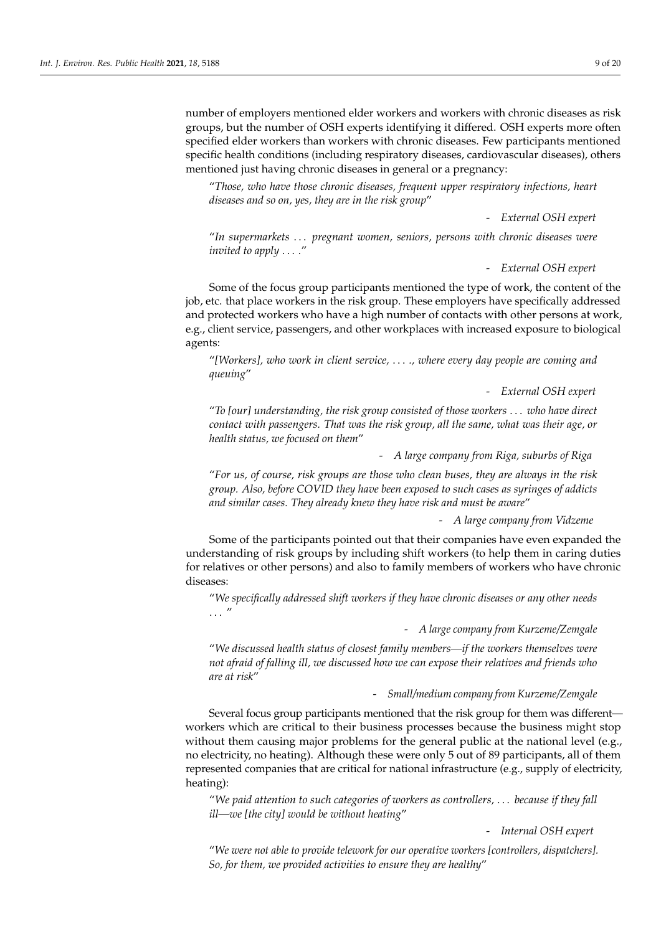number of employers mentioned elder workers and workers with chronic diseases as risk groups, but the number of OSH experts identifying it differed. OSH experts more often specified elder workers than workers with chronic diseases. Few participants mentioned specific health conditions (including respiratory diseases, cardiovascular diseases), others mentioned just having chronic diseases in general or a pregnancy:

"*Those, who have those chronic diseases, frequent upper respiratory infections, heart diseases and so on, yes, they are in the risk group*"

- *External OSH expert*

"*In supermarkets* . . . *pregnant women, seniors, persons with chronic diseases were invited to apply* . . . *.*"

## - *External OSH expert*

Some of the focus group participants mentioned the type of work, the content of the job, etc. that place workers in the risk group. These employers have specifically addressed and protected workers who have a high number of contacts with other persons at work, e.g., client service, passengers, and other workplaces with increased exposure to biological agents:

"*[Workers], who work in client service,* . . . *., where every day people are coming and queuing*"

- *External OSH expert*

"*To [our] understanding, the risk group consisted of those workers* . . . *who have direct contact with passengers. That was the risk group, all the same, what was their age, or health status, we focused on them*"

- *A large company from Riga, suburbs of Riga*

"*For us, of course, risk groups are those who clean buses, they are always in the risk group. Also, before COVID they have been exposed to such cases as syringes of addicts and similar cases. They already knew they have risk and must be aware*"

- *A large company from Vidzeme*

Some of the participants pointed out that their companies have even expanded the understanding of risk groups by including shift workers (to help them in caring duties for relatives or other persons) and also to family members of workers who have chronic diseases:

"*We specifically addressed shift workers if they have chronic diseases or any other needs* . . . "

- *A large company from Kurzeme/Zemgale*

"*We discussed health status of closest family members—if the workers themselves were not afraid of falling ill, we discussed how we can expose their relatives and friends who are at risk*"

## - *Small/medium company from Kurzeme/Zemgale*

Several focus group participants mentioned that the risk group for them was different workers which are critical to their business processes because the business might stop without them causing major problems for the general public at the national level (e.g., no electricity, no heating). Although these were only 5 out of 89 participants, all of them represented companies that are critical for national infrastructure (e.g., supply of electricity, heating):

"*We paid attention to such categories of workers as controllers,* . . . *because if they fall ill—we [the city] would be without heating*"

- *Internal OSH expert*

"*We were not able to provide telework for our operative workers [controllers, dispatchers]. So, for them, we provided activities to ensure they are healthy*"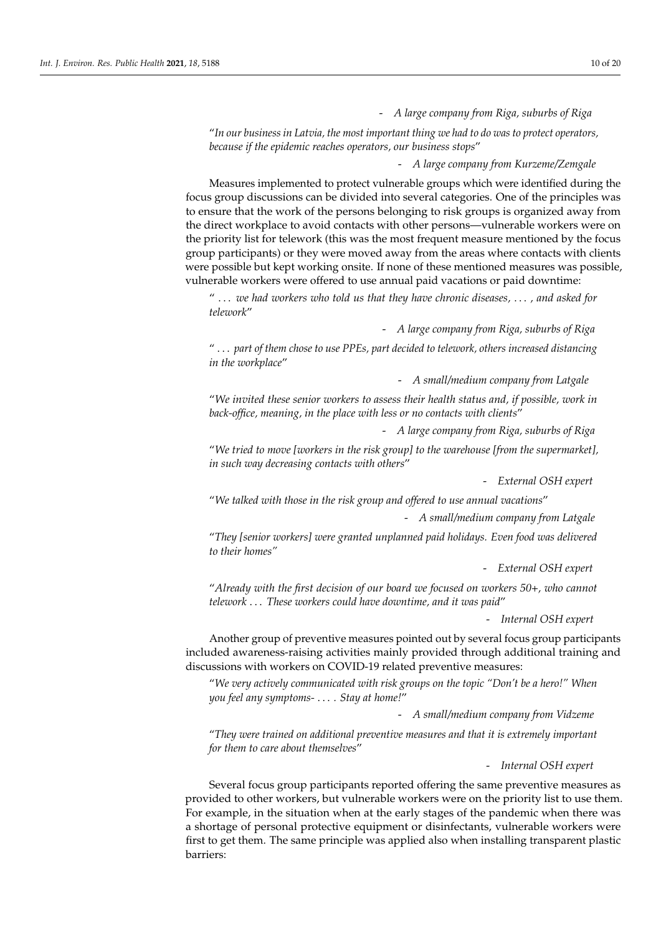- *A large company from Riga, suburbs of Riga*

"*In our business in Latvia, the most important thing we had to do was to protect operators, because if the epidemic reaches operators, our business stops*"

- *A large company from Kurzeme/Zemgale*

Measures implemented to protect vulnerable groups which were identified during the focus group discussions can be divided into several categories. One of the principles was to ensure that the work of the persons belonging to risk groups is organized away from the direct workplace to avoid contacts with other persons—vulnerable workers were on the priority list for telework (this was the most frequent measure mentioned by the focus group participants) or they were moved away from the areas where contacts with clients were possible but kept working onsite. If none of these mentioned measures was possible, vulnerable workers were offered to use annual paid vacations or paid downtime:

" . . . *we had workers who told us that they have chronic diseases,* . . . *, and asked for telework*"

- *A large company from Riga, suburbs of Riga*

" . . . *part of them chose to use PPEs, part decided to telework, others increased distancing in the workplace*"

- *A small/medium company from Latgale*

"*We invited these senior workers to assess their health status and, if possible, work in back-office, meaning, in the place with less or no contacts with clients*"

- *A large company from Riga, suburbs of Riga*

"*We tried to move [workers in the risk group] to the warehouse [from the supermarket], in such way decreasing contacts with others*"

- *External OSH expert*

"*We talked with those in the risk group and offered to use annual vacations*"

- *A small/medium company from Latgale*

"*They [senior workers] were granted unplanned paid holidays. Even food was delivered to their homes"*

- *External OSH expert*

"*Already with the first decision of our board we focused on workers 50+, who cannot telework* . . . *These workers could have downtime, and it was paid*"

- *Internal OSH expert*

Another group of preventive measures pointed out by several focus group participants included awareness-raising activities mainly provided through additional training and discussions with workers on COVID-19 related preventive measures:

"*We very actively communicated with risk groups on the topic "Don't be a hero!" When you feel any symptoms-* . . . *. Stay at home!*"

- *A small/medium company from Vidzeme*

"*They were trained on additional preventive measures and that it is extremely important for them to care about themselves*"

- *Internal OSH expert*

Several focus group participants reported offering the same preventive measures as provided to other workers, but vulnerable workers were on the priority list to use them. For example, in the situation when at the early stages of the pandemic when there was a shortage of personal protective equipment or disinfectants, vulnerable workers were first to get them. The same principle was applied also when installing transparent plastic barriers: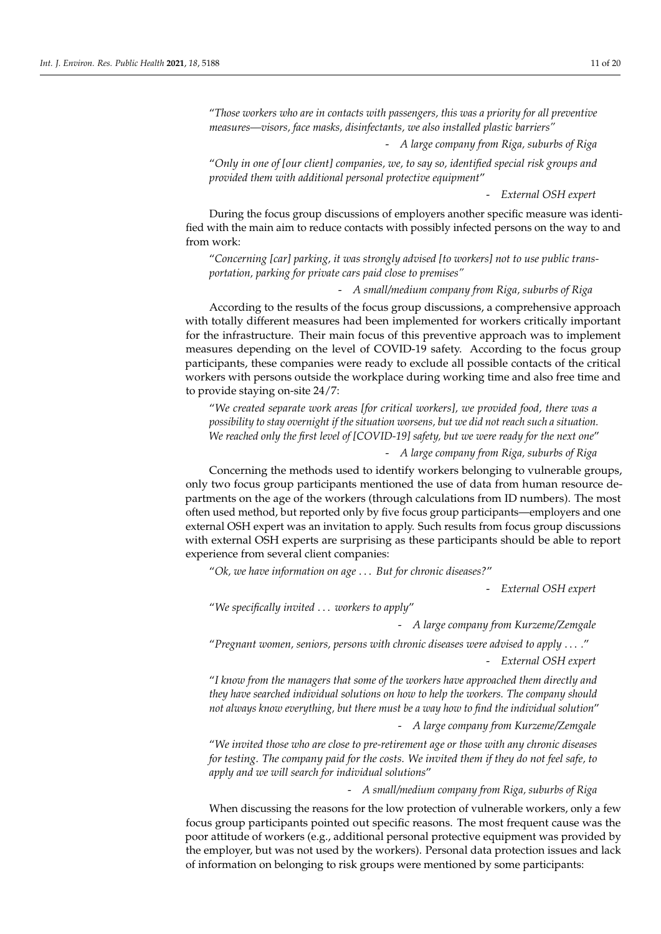"*Those workers who are in contacts with passengers, this was a priority for all preventive measures—visors, face masks, disinfectants, we also installed plastic barriers"*

- *A large company from Riga, suburbs of Riga*

"*Only in one of [our client] companies, we, to say so, identified special risk groups and provided them with additional personal protective equipment*"

- *External OSH expert*

During the focus group discussions of employers another specific measure was identified with the main aim to reduce contacts with possibly infected persons on the way to and from work:

"*Concerning [car] parking, it was strongly advised [to workers] not to use public transportation, parking for private cars paid close to premises"*

- *A small/medium company from Riga, suburbs of Riga*

According to the results of the focus group discussions, a comprehensive approach with totally different measures had been implemented for workers critically important for the infrastructure. Their main focus of this preventive approach was to implement measures depending on the level of COVID-19 safety. According to the focus group participants, these companies were ready to exclude all possible contacts of the critical workers with persons outside the workplace during working time and also free time and to provide staying on-site 24/7:

"*We created separate work areas [for critical workers], we provided food, there was a possibility to stay overnight if the situation worsens, but we did not reach such a situation. We reached only the first level of [COVID-19] safety, but we were ready for the next one*"

- *A large company from Riga, suburbs of Riga*

Concerning the methods used to identify workers belonging to vulnerable groups, only two focus group participants mentioned the use of data from human resource departments on the age of the workers (through calculations from ID numbers). The most often used method, but reported only by five focus group participants—employers and one external OSH expert was an invitation to apply. Such results from focus group discussions with external OSH experts are surprising as these participants should be able to report experience from several client companies:

"*Ok, we have information on age* . . . *But for chronic diseases?*"

- *External OSH expert*

"*We specifically invited* . . . *workers to apply*"

- *A large company from Kurzeme/Zemgale*

"*Pregnant women, seniors, persons with chronic diseases were advised to apply* . . . *.*" - *External OSH expert*

"*I know from the managers that some of the workers have approached them directly and they have searched individual solutions on how to help the workers. The company should not always know everything, but there must be a way how to find the individual solution*"

- *A large company from Kurzeme/Zemgale*

"*We invited those who are close to pre-retirement age or those with any chronic diseases for testing. The company paid for the costs. We invited them if they do not feel safe, to apply and we will search for individual solutions*"

- *A small/medium company from Riga, suburbs of Riga*

When discussing the reasons for the low protection of vulnerable workers, only a few focus group participants pointed out specific reasons. The most frequent cause was the poor attitude of workers (e.g., additional personal protective equipment was provided by the employer, but was not used by the workers). Personal data protection issues and lack of information on belonging to risk groups were mentioned by some participants: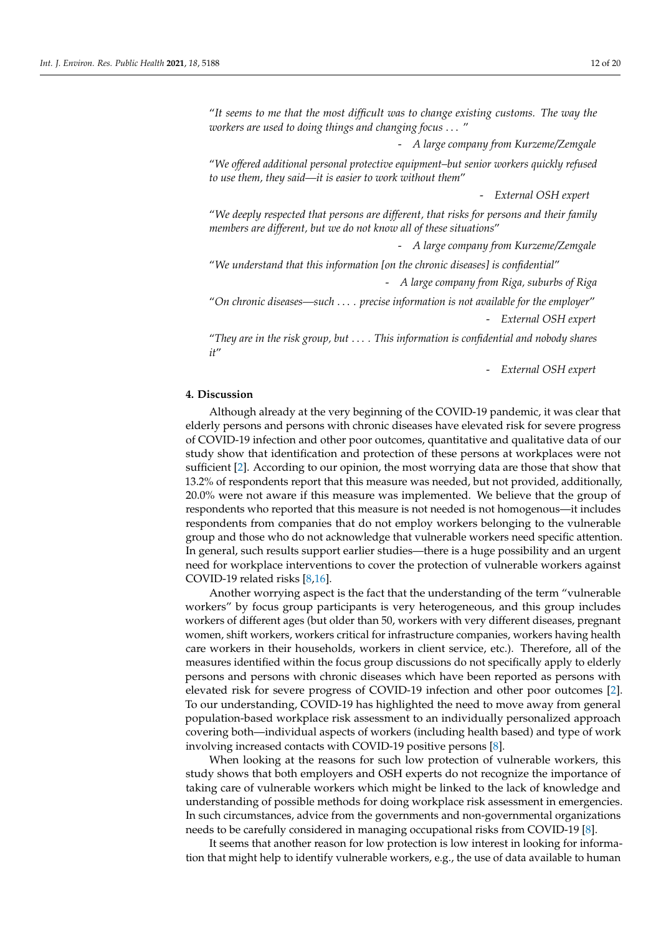"*It seems to me that the most difficult was to change existing customs. The way the workers are used to doing things and changing focus* . . . "

- *A large company from Kurzeme/Zemgale*

"*We offered additional personal protective equipment–but senior workers quickly refused to use them, they said—it is easier to work without them*"

- *External OSH expert*

"*We deeply respected that persons are different, that risks for persons and their family members are different, but we do not know all of these situations*"

- *A large company from Kurzeme/Zemgale*

"*We understand that this information [on the chronic diseases] is confidential*"

- *A large company from Riga, suburbs of Riga*

"*On chronic diseases—such* . . . *. precise information is not available for the employer*" - *External OSH expert*

"*They are in the risk group, but* . . . *. This information is confidential and nobody shares it*"

- *External OSH expert*

## **4. Discussion**

Although already at the very beginning of the COVID-19 pandemic, it was clear that elderly persons and persons with chronic diseases have elevated risk for severe progress of COVID-19 infection and other poor outcomes, quantitative and qualitative data of our study show that identification and protection of these persons at workplaces were not sufficient [\[2\]](#page-19-0). According to our opinion, the most worrying data are those that show that 13.2% of respondents report that this measure was needed, but not provided, additionally, 20.0% were not aware if this measure was implemented. We believe that the group of respondents who reported that this measure is not needed is not homogenous—it includes respondents from companies that do not employ workers belonging to the vulnerable group and those who do not acknowledge that vulnerable workers need specific attention. In general, such results support earlier studies—there is a huge possibility and an urgent need for workplace interventions to cover the protection of vulnerable workers against COVID-19 related risks [\[8](#page-19-2)[,16\]](#page-19-13).

Another worrying aspect is the fact that the understanding of the term "vulnerable workers" by focus group participants is very heterogeneous, and this group includes workers of different ages (but older than 50, workers with very different diseases, pregnant women, shift workers, workers critical for infrastructure companies, workers having health care workers in their households, workers in client service, etc.). Therefore, all of the measures identified within the focus group discussions do not specifically apply to elderly persons and persons with chronic diseases which have been reported as persons with elevated risk for severe progress of COVID-19 infection and other poor outcomes [\[2\]](#page-19-0). To our understanding, COVID-19 has highlighted the need to move away from general population-based workplace risk assessment to an individually personalized approach covering both—individual aspects of workers (including health based) and type of work involving increased contacts with COVID-19 positive persons [\[8\]](#page-19-2).

When looking at the reasons for such low protection of vulnerable workers, this study shows that both employers and OSH experts do not recognize the importance of taking care of vulnerable workers which might be linked to the lack of knowledge and understanding of possible methods for doing workplace risk assessment in emergencies. In such circumstances, advice from the governments and non-governmental organizations needs to be carefully considered in managing occupational risks from COVID-19 [\[8\]](#page-19-2).

It seems that another reason for low protection is low interest in looking for information that might help to identify vulnerable workers, e.g., the use of data available to human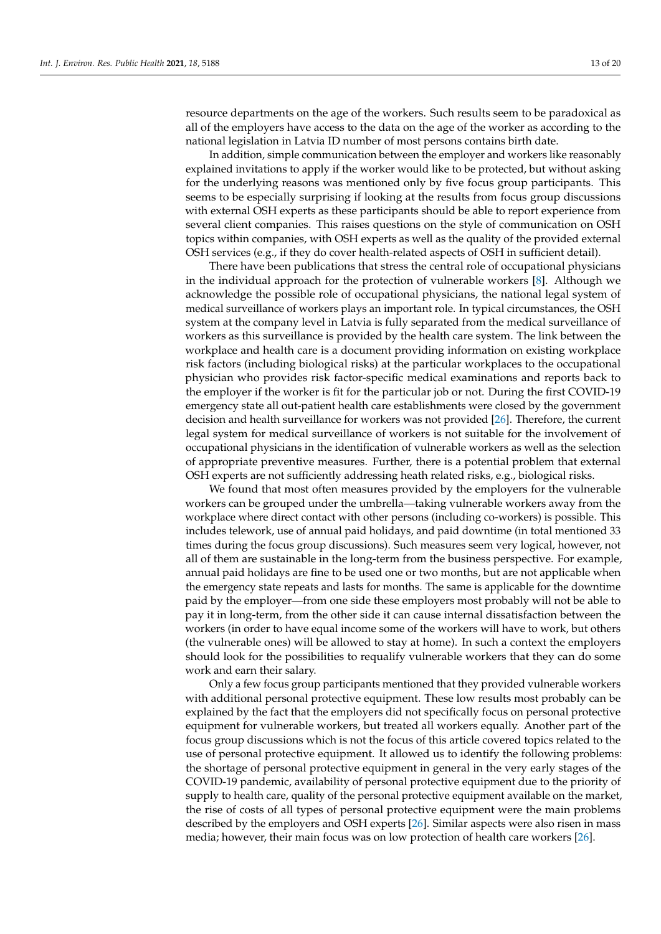resource departments on the age of the workers. Such results seem to be paradoxical as all of the employers have access to the data on the age of the worker as according to the national legislation in Latvia ID number of most persons contains birth date.

In addition, simple communication between the employer and workers like reasonably explained invitations to apply if the worker would like to be protected, but without asking for the underlying reasons was mentioned only by five focus group participants. This seems to be especially surprising if looking at the results from focus group discussions with external OSH experts as these participants should be able to report experience from several client companies. This raises questions on the style of communication on OSH topics within companies, with OSH experts as well as the quality of the provided external OSH services (e.g., if they do cover health-related aspects of OSH in sufficient detail).

There have been publications that stress the central role of occupational physicians in the individual approach for the protection of vulnerable workers [\[8\]](#page-19-2). Although we acknowledge the possible role of occupational physicians, the national legal system of medical surveillance of workers plays an important role. In typical circumstances, the OSH system at the company level in Latvia is fully separated from the medical surveillance of workers as this surveillance is provided by the health care system. The link between the workplace and health care is a document providing information on existing workplace risk factors (including biological risks) at the particular workplaces to the occupational physician who provides risk factor-specific medical examinations and reports back to the employer if the worker is fit for the particular job or not. During the first COVID-19 emergency state all out-patient health care establishments were closed by the government decision and health surveillance for workers was not provided [\[26\]](#page-19-23). Therefore, the current legal system for medical surveillance of workers is not suitable for the involvement of occupational physicians in the identification of vulnerable workers as well as the selection of appropriate preventive measures. Further, there is a potential problem that external OSH experts are not sufficiently addressing heath related risks, e.g., biological risks.

We found that most often measures provided by the employers for the vulnerable workers can be grouped under the umbrella—taking vulnerable workers away from the workplace where direct contact with other persons (including co-workers) is possible. This includes telework, use of annual paid holidays, and paid downtime (in total mentioned 33 times during the focus group discussions). Such measures seem very logical, however, not all of them are sustainable in the long-term from the business perspective. For example, annual paid holidays are fine to be used one or two months, but are not applicable when the emergency state repeats and lasts for months. The same is applicable for the downtime paid by the employer—from one side these employers most probably will not be able to pay it in long-term, from the other side it can cause internal dissatisfaction between the workers (in order to have equal income some of the workers will have to work, but others (the vulnerable ones) will be allowed to stay at home). In such a context the employers should look for the possibilities to requalify vulnerable workers that they can do some work and earn their salary.

Only a few focus group participants mentioned that they provided vulnerable workers with additional personal protective equipment. These low results most probably can be explained by the fact that the employers did not specifically focus on personal protective equipment for vulnerable workers, but treated all workers equally. Another part of the focus group discussions which is not the focus of this article covered topics related to the use of personal protective equipment. It allowed us to identify the following problems: the shortage of personal protective equipment in general in the very early stages of the COVID-19 pandemic, availability of personal protective equipment due to the priority of supply to health care, quality of the personal protective equipment available on the market, the rise of costs of all types of personal protective equipment were the main problems described by the employers and OSH experts [\[26\]](#page-19-23). Similar aspects were also risen in mass media; however, their main focus was on low protection of health care workers [\[26\]](#page-19-23).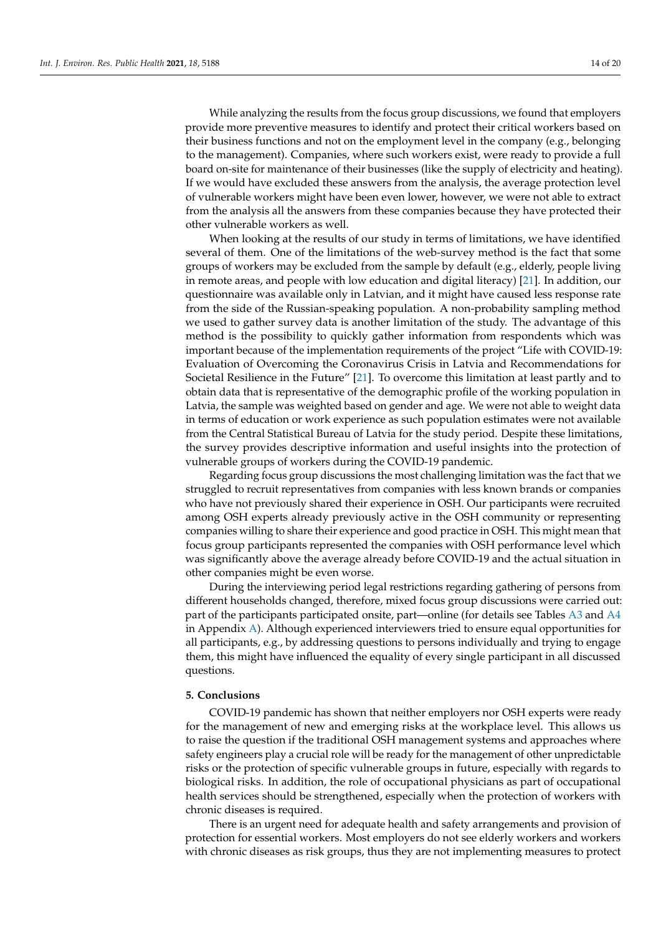While analyzing the results from the focus group discussions, we found that employers provide more preventive measures to identify and protect their critical workers based on their business functions and not on the employment level in the company (e.g., belonging to the management). Companies, where such workers exist, were ready to provide a full board on-site for maintenance of their businesses (like the supply of electricity and heating). If we would have excluded these answers from the analysis, the average protection level of vulnerable workers might have been even lower, however, we were not able to extract from the analysis all the answers from these companies because they have protected their other vulnerable workers as well.

When looking at the results of our study in terms of limitations, we have identified several of them. One of the limitations of the web-survey method is the fact that some groups of workers may be excluded from the sample by default (e.g., elderly, people living in remote areas, and people with low education and digital literacy) [\[21\]](#page-19-18). In addition, our questionnaire was available only in Latvian, and it might have caused less response rate from the side of the Russian-speaking population. A non-probability sampling method we used to gather survey data is another limitation of the study. The advantage of this method is the possibility to quickly gather information from respondents which was important because of the implementation requirements of the project "Life with COVID-19: Evaluation of Overcoming the Coronavirus Crisis in Latvia and Recommendations for Societal Resilience in the Future" [\[21\]](#page-19-18). To overcome this limitation at least partly and to obtain data that is representative of the demographic profile of the working population in Latvia, the sample was weighted based on gender and age. We were not able to weight data in terms of education or work experience as such population estimates were not available from the Central Statistical Bureau of Latvia for the study period. Despite these limitations, the survey provides descriptive information and useful insights into the protection of vulnerable groups of workers during the COVID-19 pandemic.

Regarding focus group discussions the most challenging limitation was the fact that we struggled to recruit representatives from companies with less known brands or companies who have not previously shared their experience in OSH. Our participants were recruited among OSH experts already previously active in the OSH community or representing companies willing to share their experience and good practice in OSH. This might mean that focus group participants represented the companies with OSH performance level which was significantly above the average already before COVID-19 and the actual situation in other companies might be even worse.

During the interviewing period legal restrictions regarding gathering of persons from different households changed, therefore, mixed focus group discussions were carried out: part of the participants participated onsite, part—online (for details see Tables [A3](#page-16-0) and [A4](#page-17-0) in Appendix [A\)](#page-14-0). Although experienced interviewers tried to ensure equal opportunities for all participants, e.g., by addressing questions to persons individually and trying to engage them, this might have influenced the equality of every single participant in all discussed questions.

#### **5. Conclusions**

COVID-19 pandemic has shown that neither employers nor OSH experts were ready for the management of new and emerging risks at the workplace level. This allows us to raise the question if the traditional OSH management systems and approaches where safety engineers play a crucial role will be ready for the management of other unpredictable risks or the protection of specific vulnerable groups in future, especially with regards to biological risks. In addition, the role of occupational physicians as part of occupational health services should be strengthened, especially when the protection of workers with chronic diseases is required.

There is an urgent need for adequate health and safety arrangements and provision of protection for essential workers. Most employers do not see elderly workers and workers with chronic diseases as risk groups, thus they are not implementing measures to protect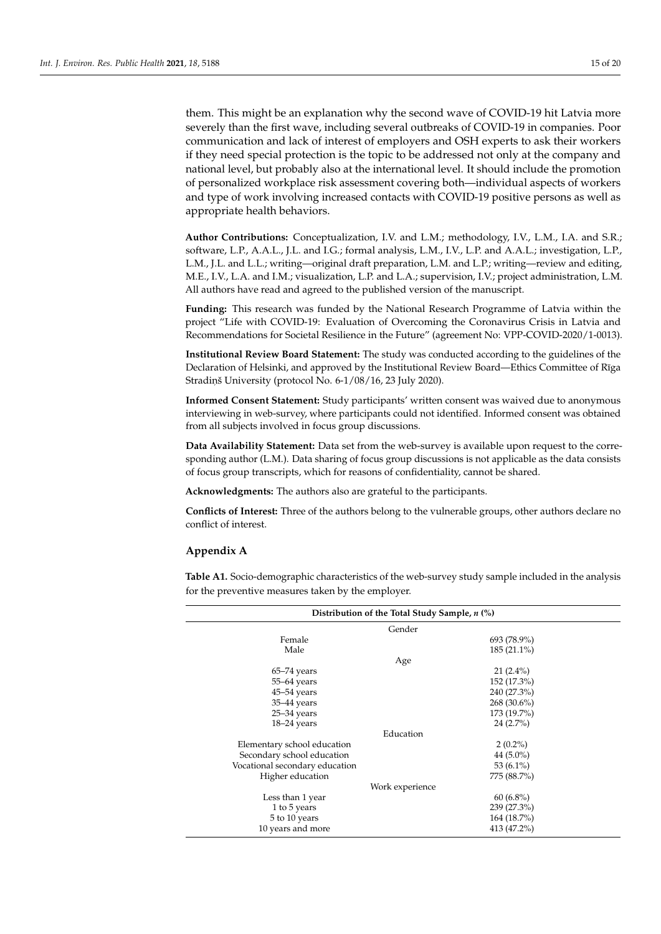them. This might be an explanation why the second wave of COVID-19 hit Latvia more severely than the first wave, including several outbreaks of COVID-19 in companies. Poor communication and lack of interest of employers and OSH experts to ask their workers if they need special protection is the topic to be addressed not only at the company and national level, but probably also at the international level. It should include the promotion of personalized workplace risk assessment covering both—individual aspects of workers and type of work involving increased contacts with COVID-19 positive persons as well as appropriate health behaviors.

**Author Contributions:** Conceptualization, I.V. and L.M.; methodology, I.V., L.M., I.A. and S.R.; software, L.P., A.A.L., J.L. and I.G.; formal analysis, L.M., I.V., L.P. and A.A.L.; investigation, L.P., L.M., J.L. and L.L.; writing—original draft preparation, L.M. and L.P.; writing—review and editing, M.E., I.V., L.A. and I.M.; visualization, L.P. and L.A.; supervision, I.V.; project administration, L.M. All authors have read and agreed to the published version of the manuscript.

**Funding:** This research was funded by the National Research Programme of Latvia within the project "Life with COVID-19: Evaluation of Overcoming the Coronavirus Crisis in Latvia and Recommendations for Societal Resilience in the Future" (agreement No: VPP-COVID-2020/1-0013).

**Institutional Review Board Statement:** The study was conducted according to the guidelines of the Declaration of Helsinki, and approved by the Institutional Review Board—Ethics Committee of Rīga Stradiņš University (protocol No. 6-1/08/16, 23 July 2020).

**Informed Consent Statement:** Study participants' written consent was waived due to anonymous interviewing in web-survey, where participants could not identified. Informed consent was obtained from all subjects involved in focus group discussions.

**Data Availability Statement:** Data set from the web-survey is available upon request to the corresponding author (L.M.). Data sharing of focus group discussions is not applicable as the data consists of focus group transcripts, which for reasons of confidentiality, cannot be shared.

**Acknowledgments:** The authors also are grateful to the participants.

**Conflicts of Interest:** Three of the authors belong to the vulnerable groups, other authors declare no conflict of interest.

## <span id="page-14-0"></span>**Appendix A**

<span id="page-14-1"></span>**Table A1.** Socio-demographic characteristics of the web-survey study sample included in the analysis for the preventive measures taken by the employer.

| Distribution of the Total Study Sample, n (%) |                 |  |  |  |  |
|-----------------------------------------------|-----------------|--|--|--|--|
| Gender                                        |                 |  |  |  |  |
| Female                                        | 693 (78.9%)     |  |  |  |  |
| Male                                          | $185(21.1\%)$   |  |  |  |  |
|                                               | Age             |  |  |  |  |
| $65-74$ years                                 | $21(2.4\%)$     |  |  |  |  |
| $55-64$ years                                 | 152 (17.3%)     |  |  |  |  |
| $45 - 54$ years                               | 240 (27.3%)     |  |  |  |  |
| 35-44 years                                   | 268 (30.6%)     |  |  |  |  |
| $25 - 34$ years                               | 173 (19.7%)     |  |  |  |  |
| $18-24$ years                                 | $24(2.7\%)$     |  |  |  |  |
|                                               | Education       |  |  |  |  |
| Elementary school education                   | $2(0.2\%)$      |  |  |  |  |
| Secondary school education                    | 44 $(5.0\%)$    |  |  |  |  |
| Vocational secondary education                | 53 $(6.1\%)$    |  |  |  |  |
| Higher education                              | 775 (88.7%)     |  |  |  |  |
|                                               | Work experience |  |  |  |  |
| Less than 1 year                              | $60(6.8\%)$     |  |  |  |  |
| 1 to 5 years                                  | 239 (27.3%)     |  |  |  |  |
| 5 to 10 years                                 | 164 (18.7%)     |  |  |  |  |
| 10 years and more                             | 413 (47.2%)     |  |  |  |  |
|                                               |                 |  |  |  |  |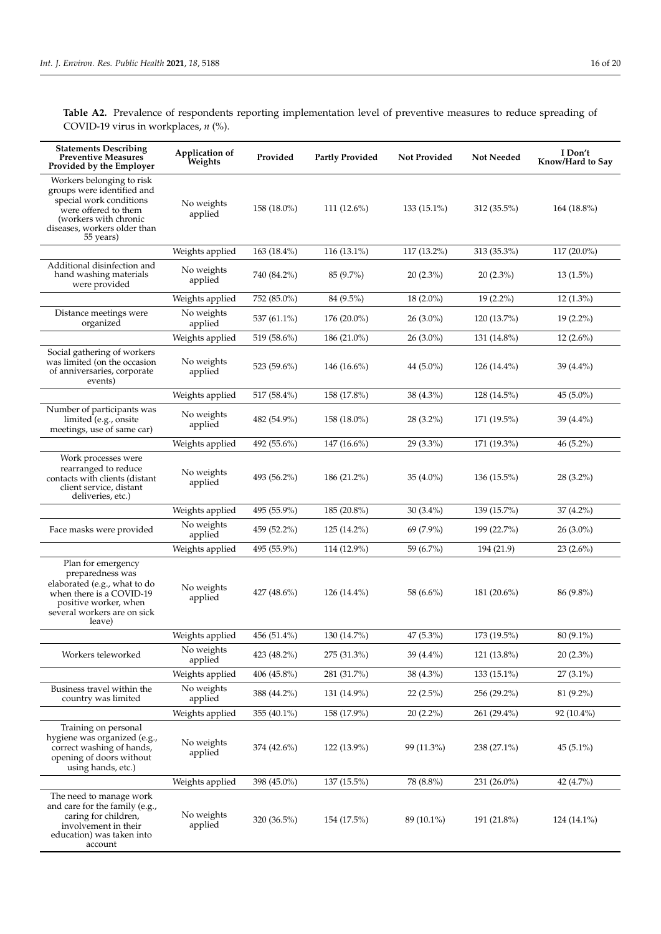<span id="page-15-0"></span>**Table A2.** Prevalence of respondents reporting implementation level of preventive measures to reduce spreading of COVID-19 virus in workplaces, *n* (%).

| <b>Statements Describing</b><br><b>Preventive Measures</b><br>Provided by the Employer                                                                                           | Application of<br>Weights | Provided      | <b>Partly Provided</b> | <b>Not Provided</b> | <b>Not Needed</b> | I Don't<br>Know/Hard to Say |
|----------------------------------------------------------------------------------------------------------------------------------------------------------------------------------|---------------------------|---------------|------------------------|---------------------|-------------------|-----------------------------|
| Workers belonging to risk<br>groups were identified and<br>special work conditions<br>were offered to them<br>(workers with chronic<br>diseases, workers older than<br>55 years) | No weights<br>applied     | 158 (18.0%)   | 111 $(12.6\%)$         | 133 (15.1%)         | 312 (35.5%)       | $164(18.8\%)$               |
|                                                                                                                                                                                  | Weights applied           | 163 (18.4%)   | 116 (13.1%)            | 117 (13.2%)         | 313 (35.3%)       | $117(20.0\%)$               |
| Additional disinfection and<br>hand washing materials<br>were provided                                                                                                           | No weights<br>applied     | 740 (84.2%)   | 85 (9.7%)              | $20(2.3\%)$         | $20(2.3\%)$       | $13(1.5\%)$                 |
|                                                                                                                                                                                  | Weights applied           | 752 (85.0%)   | 84 (9.5%)              | $18(2.0\%)$         | $19(2.2\%)$       | $12(1.3\%)$                 |
| Distance meetings were<br>organized                                                                                                                                              | No weights<br>applied     | 537 (61.1%)   | 176 (20.0%)            | $26(3.0\%)$         | 120 (13.7%)       | $19(2.2\%)$                 |
|                                                                                                                                                                                  | Weights applied           | 519 (58.6%)   | 186 (21.0%)            | $26(3.0\%)$         | 131 (14.8%)       | $12(2.6\%)$                 |
| Social gathering of workers<br>was limited (on the occasion<br>of anniversaries, corporate<br>events)                                                                            | No weights<br>applied     | 523 (59.6%)   | $146(16.6\%)$          | 44 (5.0%)           | $126(14.4\%)$     | 39 (4.4%)                   |
|                                                                                                                                                                                  | Weights applied           | 517 (58.4%)   | 158 (17.8%)            | 38 (4.3%)           | 128 (14.5%)       | 45 $(5.0\%)$                |
| Number of participants was<br>limited (e.g., onsite<br>meetings, use of same car)                                                                                                | No weights<br>applied     | 482 (54.9%)   | 158 (18.0%)            | $28(3.2\%)$         | 171 (19.5%)       | $39(4.4\%)$                 |
|                                                                                                                                                                                  | Weights applied           | 492 (55.6%)   | $147(16.6\%)$          | $29(3.3\%)$         | 171 (19.3%)       | $46(5.2\%)$                 |
| Work processes were<br>rearranged to reduce<br>contacts with clients (distant<br>client service, distant<br>deliveries, etc.)                                                    | No weights<br>applied     | 493 (56.2%)   | 186 (21.2%)            | $35(4.0\%)$         | $136(15.5\%)$     | 28 (3.2%)                   |
|                                                                                                                                                                                  | Weights applied           | 495 (55.9%)   | $185(20.8\%)$          | $30(3.4\%)$         | 139 (15.7%)       | $37(4.2\%)$                 |
| Face masks were provided                                                                                                                                                         | No weights<br>applied     | 459 (52.2%)   | $125(14.2\%)$          | 69 (7.9%)           | 199 (22.7%)       | $26(3.0\%)$                 |
|                                                                                                                                                                                  | Weights applied           | 495 (55.9%)   | 114 (12.9%)            | 59 (6.7%)           | 194 (21.9)        | $23(2.6\%)$                 |
| Plan for emergency<br>preparedness was<br>elaborated (e.g., what to do<br>when there is a COVID-19<br>positive worker, when<br>several workers are on sick<br>leave)             | No weights<br>applied     | $427(48.6\%)$ | $126(14.4\%)$          | 58 (6.6%)           | $181(20.6\%)$     | 86 (9.8%)                   |
|                                                                                                                                                                                  | Weights applied           | 456 (51.4%)   | 130 (14.7%)            | 47 (5.3%)           | 173 (19.5%)       | 80 (9.1%)                   |
| Workers teleworked                                                                                                                                                               | No weights<br>applied     | 423 (48.2%)   | 275 (31.3%)            | 39 (4.4%)           | 121 (13.8%)       | $20(2.3\%)$                 |
|                                                                                                                                                                                  | Weights applied           | 406 (45.8%)   | 281 (31.7%)            | 38 (4.3%)           | 133 (15.1%)       | $27(3.1\%)$                 |
| Business travel within the<br>country was limited                                                                                                                                | No weights<br>applied     | 388 (44.2%)   | 131 (14.9%)            | $22(2.5\%)$         | 256 (29.2%)       | 81 (9.2%)                   |
|                                                                                                                                                                                  | Weights applied           | 355 (40.1%)   | 158 (17.9%)            | $20(2.2\%)$         | 261 (29.4%)       | 92 (10.4%)                  |
| Training on personal<br>hygiene was organized (e.g.,<br>correct washing of hands,<br>opening of doors without<br>using hands, etc.)                                              | No weights<br>applied     | 374 (42.6%)   | 122 (13.9%)            | 99 (11.3%)          | 238 (27.1%)       | $45(5.1\%)$                 |
|                                                                                                                                                                                  | Weights applied           | 398 (45.0%)   | 137 (15.5%)            | 78 (8.8%)           | 231 (26.0%)       | 42 (4.7%)                   |
| The need to manage work<br>and care for the family (e.g.,<br>caring for children,<br>involvement in their<br>education) was taken into<br>account                                | No weights<br>applied     | 320 (36.5%)   | 154 (17.5%)            | 89 (10.1%)          | 191 (21.8%)       | $124(14.1\%)$               |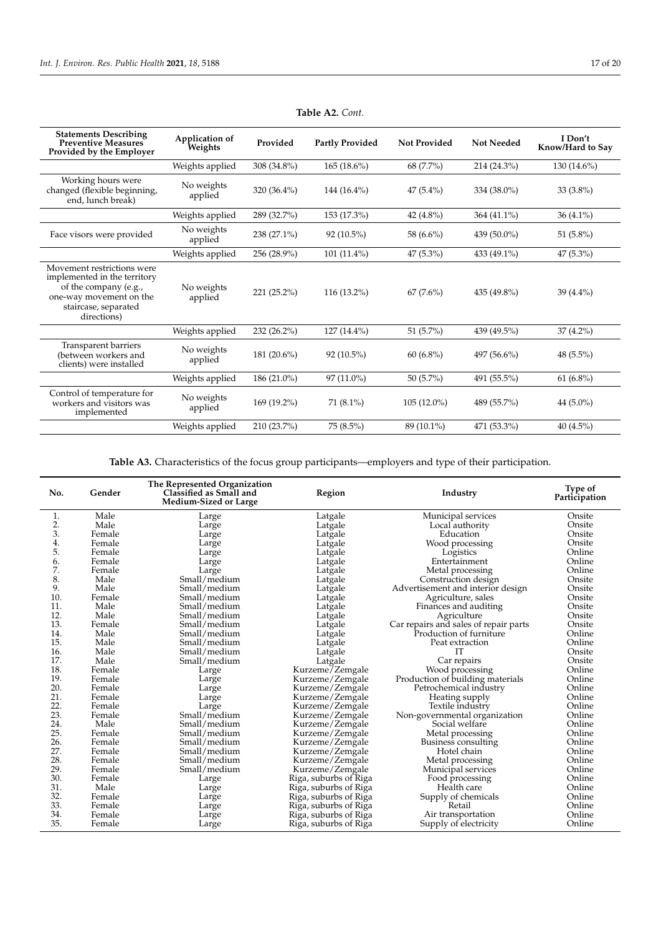| <b>Statements Describing</b><br>Preventive Measures<br>Provided by the Employer                                                                       | Application of<br>Weights | Provided    | <b>Partly Provided</b> | <b>Not Provided</b> | <b>Not Needed</b> | I Don't<br>Know/Hard to Say |
|-------------------------------------------------------------------------------------------------------------------------------------------------------|---------------------------|-------------|------------------------|---------------------|-------------------|-----------------------------|
|                                                                                                                                                       | Weights applied           | 308 (34.8%) | $165(18.6\%)$          | 68 (7.7%)           | 214 (24.3%)       | $130(14.6\%)$               |
| Working hours were<br>changed (flexible beginning,<br>end, lunch break)                                                                               | No weights<br>applied     | 320 (36.4%) | 144 $(16.4\%)$         | $47(5.4\%)$         | 334 (38.0%)       | $33(3.8\%)$                 |
|                                                                                                                                                       | Weights applied           | 289 (32.7%) | 153 (17.3%)            | 42 (4.8%)           | 364 (41.1%)       | $36(4.1\%)$                 |
| Face visors were provided                                                                                                                             | No weights<br>applied     | 238 (27.1%) | 92 (10.5%)             | 58 (6.6%)           | 439 (50.0%)       | 51 (5.8%)                   |
|                                                                                                                                                       | Weights applied           | 256 (28.9%) | $101(11.4\%)$          | 47 (5.3%)           | 433 (49.1%)       | $47(5.3\%)$                 |
| Movement restrictions were<br>implemented in the territory<br>of the company (e.g.,<br>one-way movement on the<br>staircase, separated<br>directions) | No weights<br>applied     | 221 (25.2%) | 116 (13.2%)            | $67(7.6\%)$         | 435 (49.8%)       | 39 (4.4%)                   |
|                                                                                                                                                       | Weights applied           | 232 (26.2%) | $127(14.4\%)$          | 51 $(5.7\%)$        | 439 (49.5%)       | $37(4.2\%)$                 |
| Transparent barriers<br>(between workers and<br>clients) were installed                                                                               | No weights<br>applied     | 181 (20.6%) | 92 (10.5%)             | $60(6.8\%)$         | 497 (56.6%)       | 48 (5.5%)                   |
|                                                                                                                                                       | Weights applied           | 186 (21.0%) | $97(11.0\%)$           | 50 $(5.7\%)$        | 491 (55.5%)       | $61(6.8\%)$                 |
| Control of temperature for<br>workers and visitors was<br>implemented                                                                                 | No weights<br>applied     | 169 (19.2%) | $71(8.1\%)$            | $105(12.0\%)$       | 489 (55.7%)       | 44 $(5.0\%)$                |
|                                                                                                                                                       | Weights applied           | 210 (23.7%) | 75 (8.5%)              | 89 (10.1%)          | 471 (53.3%)       | $40(4.5\%)$                 |

**Table A2.** *Cont.*

**Table A3.** Characteristics of the focus group participants—employers and type of their participation.

<span id="page-16-0"></span>

| No.           | Gender | The Represented Organization<br>Classified as Small and<br><b>Medium-Sized or Large</b> | Region<br>Industry                                  |                                       | Type of<br>Participation |
|---------------|--------|-----------------------------------------------------------------------------------------|-----------------------------------------------------|---------------------------------------|--------------------------|
| 1.            | Male   | Large                                                                                   | Latgale                                             | Municipal services                    | Onsite                   |
| $rac{2}{3}$ . | Male   | Large                                                                                   | Latgale                                             | Local authority                       | Onsite                   |
|               | Female | Large                                                                                   | Latgale                                             | Education                             | Onsite                   |
| 4.            | Female | Large                                                                                   | Latgale                                             | Wood processing                       | Onsite                   |
| 5.            | Female | Large                                                                                   | Latgale                                             | Logistics                             | Online                   |
| 6.            | Female | Large                                                                                   | Latgale                                             | Entertainment                         | Online                   |
| 7.            | Female | Large                                                                                   | Latgale                                             | Metal processing                      | Online                   |
| 8.            | Male   | Small/medium                                                                            | Latgale                                             | Construction design                   | Onsite                   |
| 9.            | Male   | Small/medium                                                                            | Latgale                                             | Advertisement and interior design     | Onsite                   |
| 10.           | Female | Small/medium                                                                            | Latgale                                             | Agriculture, sales                    | Onsite                   |
| 11.           | Male   | Small/medium                                                                            | Latgale                                             | Finances and auditing                 | Onsite                   |
| 12.           | Male   | Small/medium                                                                            | Latgale                                             | Agriculture                           | Onsite                   |
| 13.           | Female | Small/medium                                                                            | Latgale                                             | Car repairs and sales of repair parts | Onsite                   |
| 14.           | Male   | Small/medium                                                                            | Latgale                                             | Production of furniture               | Online                   |
| 15.           | Male   | Small/medium                                                                            | Latgale                                             | Peat extraction                       | Online                   |
| 16.           | Male   | Small/medium                                                                            | IT<br>Latgale                                       |                                       | Onsite                   |
| 17.           | Male   | Small/medium                                                                            | Car repairs<br>Latgale                              |                                       | Onsite                   |
| 18.           | Female | Large                                                                                   | Kurzeme/Zemgale                                     | Wood processing                       | Online                   |
| 19.           | Female | Large                                                                                   | Production of building materials<br>Kurzeme/Zemgale |                                       | Online                   |
| 20.           | Female | Large                                                                                   | Kurzeme/Zemgale<br>Petrochemical industry           |                                       | Online                   |
| 21.           | Female | Large                                                                                   | Kurzeme/Zemgale<br>Heating supply                   |                                       | Online                   |
| 22.           | Female | Large                                                                                   | Kurzeme/Zemgale<br>Textile industry                 |                                       | Online                   |
| 23.           | Female | Small/medium                                                                            | Kurzeme/Zemgale                                     | Non-governmental organization         |                          |
| 24.           | Male   | Small/medium                                                                            | Kurzeme/Zemgale                                     | Social welfare                        |                          |
| 25.           | Female | Small/medium                                                                            | Kurzeme/Zemgale                                     | Metal processing                      | Online                   |
| 26.           | Female | Small/medium                                                                            | Kurzeme/Zemgale                                     | Business consulting                   | Online                   |
| 27.           | Female | Small/medium                                                                            | Kurzeme/Zemgale                                     | Hotel chain                           | Online                   |
| 28.           | Female | Small/medium                                                                            | Kurzeme/Zemgale                                     | Metal processing                      | Online                   |
| 29.           | Female | Small/medium                                                                            | Kurzeme/Zemgale                                     | Municipal services                    | Online                   |
| 30.           | Female | Large                                                                                   | Riga, suburbs of Riga                               | Food processing                       | Online                   |
| 31.           | Male   | Large                                                                                   | Riga, suburbs of Riga                               | Health care                           | Online                   |
| 32.           | Female | Large                                                                                   | Riga, suburbs of Riga<br>Supply of chemicals        |                                       | Online                   |
| 33.           | Female | Large                                                                                   | Riga, suburbs of Riga<br>Retail                     |                                       | Online                   |
| 34.           | Female | Large                                                                                   | Riga, suburbs of Riga                               | Air transportation                    | Online                   |
| 35.           | Female | Large                                                                                   | Riga, suburbs of Riga                               | Supply of electricity                 | Online                   |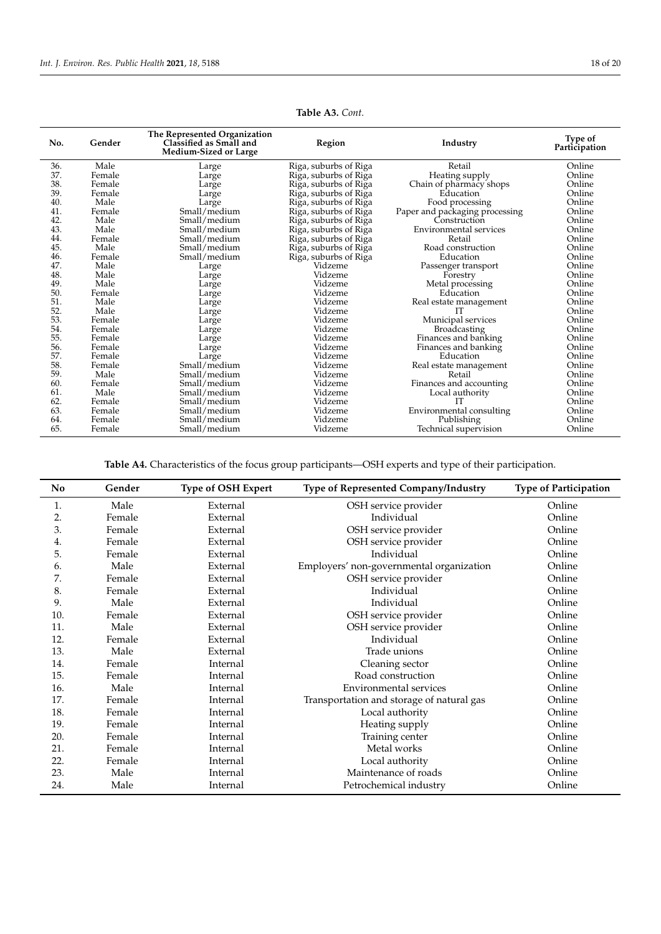| No. | Gender | The Represented Organization<br>Classified as Small and<br>Medium-Sized or Large | Region                | Industry                       | Type of<br>Participation |
|-----|--------|----------------------------------------------------------------------------------|-----------------------|--------------------------------|--------------------------|
| 36. | Male   | Large                                                                            | Riga, suburbs of Riga | Retail                         | Online                   |
| 37. | Female | Large                                                                            | Riga, suburbs of Riga | Heating supply                 | Online                   |
| 38. | Female | Large                                                                            | Riga, suburbs of Riga | Chain of pharmacy shops        | Online                   |
| 39. | Female | Large                                                                            | Riga, suburbs of Riga | Education                      | Online                   |
| 40. | Male   | Large                                                                            | Riga, suburbs of Riga | Food processing                | Online                   |
| 41. | Female | Small/medium                                                                     | Riga, suburbs of Riga | Paper and packaging processing | Online                   |
| 42. | Male   | Small/medium                                                                     | Riga, suburbs of Riga | Construction                   | Online                   |
| 43. | Male   | Small/medium                                                                     | Riga, suburbs of Riga | <b>Environmental services</b>  | Online                   |
| 44. | Female | Small/medium                                                                     | Riga, suburbs of Riga | Retail                         | Online                   |
| 45. | Male   | Small/medium                                                                     | Riga, suburbs of Riga | Road construction              | Online                   |
| 46. | Female | Small/medium                                                                     | Riga, suburbs of Riga | Education                      | Online                   |
| 47. | Male   | Large                                                                            | Vidzeme               | Passenger transport            | Online                   |
| 48. | Male   | Large                                                                            | Vidzeme               | Forestry                       | Online                   |
| 49. | Male   | Large                                                                            | Vidzeme               | Metal processing               | Online                   |
| 50. | Female | Large                                                                            | Vidzeme               | Education                      | Online                   |
| 51. | Male   | Large                                                                            | Vidzeme               | Real estate management         | Online                   |
| 52. | Male   | Large                                                                            | Vidzeme               |                                | Online                   |
| 53. | Female | Large                                                                            | Vidzeme               | Municipal services             | Online                   |
| 54. | Female | Large                                                                            | Vidzeme               | <b>Broadcasting</b>            | Online                   |
| 55. | Female | Large                                                                            | Vidzeme               | Finances and banking           | Online                   |
| 56. | Female | Large                                                                            | Vidzeme               | Finances and banking           | Online                   |
| 57. | Female | Large                                                                            | Vidzeme               | Education                      | Online                   |
| 58. | Female | Small/medium                                                                     | Vidzeme               | Real estate management         | Online                   |
| 59. | Male   | Small/medium                                                                     | Vidzeme               | Retail                         | Online                   |
| 60. | Female | Small/medium                                                                     | Vidzeme               | Finances and accounting        | Online                   |
| 61. | Male   | Small/medium                                                                     | Vidzeme               | Local authority                | Online                   |
| 62. | Female | Small/medium                                                                     | Vidzeme               | TТ                             | Online                   |
| 63. | Female | Small/medium                                                                     | Vidzeme               | Environmental consulting       | Online                   |
| 64. | Female | Small/medium                                                                     | Vidzeme               | Publishing                     | Online                   |
| 65. | Female | Small/medium                                                                     | Vidzeme               | Technical supervision          | Online                   |

**Table A3.** *Cont.*

**Table A4.** Characteristics of the focus group participants—OSH experts and type of their participation.

<span id="page-17-0"></span>

| No  | Gender | <b>Type of OSH Expert</b> | Type of Represented Company/Industry      | <b>Type of Participation</b> |
|-----|--------|---------------------------|-------------------------------------------|------------------------------|
| 1.  | Male   | External                  | OSH service provider                      | Online                       |
| 2.  | Female | External                  | Individual                                | Online                       |
| 3.  | Female | External                  | OSH service provider                      | Online                       |
| 4.  | Female | External                  | OSH service provider                      | Online                       |
| 5.  | Female | External                  | Individual                                | Online                       |
| 6.  | Male   | External                  | Employers' non-governmental organization  | Online                       |
| 7.  | Female | External                  | OSH service provider                      | Online                       |
| 8.  | Female | External                  | Individual                                | Online                       |
| 9.  | Male   | External                  | Individual                                | Online                       |
| 10. | Female | External                  | OSH service provider                      | Online                       |
| 11. | Male   | External                  | OSH service provider                      | Online                       |
| 12. | Female | External                  | Individual                                | Online                       |
| 13. | Male   | External                  | Trade unions                              | Online                       |
| 14. | Female | Internal                  | Cleaning sector                           | Online                       |
| 15. | Female | Internal                  | Road construction                         | Online                       |
| 16. | Male   | Internal                  | <b>Environmental services</b>             | Online                       |
| 17. | Female | Internal                  | Transportation and storage of natural gas | Online                       |
| 18. | Female | Internal                  | Local authority                           | Online                       |
| 19. | Female | Internal                  | Heating supply                            | Online                       |
| 20. | Female | Internal                  | Training center                           | Online                       |
| 21. | Female | Internal                  | Metal works                               | Online                       |
| 22. | Female | Internal                  | Local authority                           | Online                       |
| 23. | Male   | Internal                  | Maintenance of roads                      | Online                       |
| 24. | Male   | Internal                  | Petrochemical industry                    | Online                       |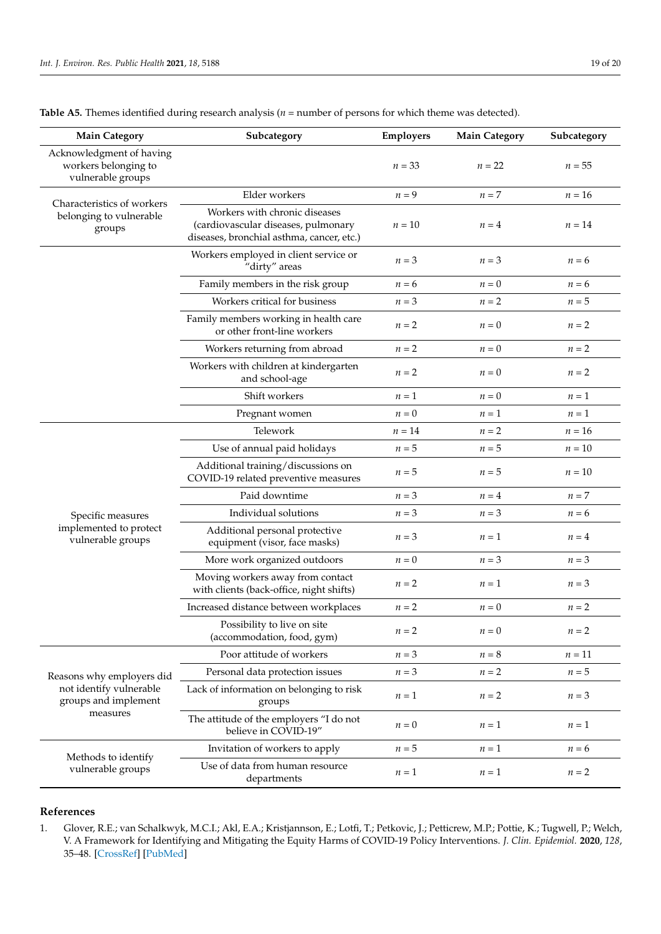| <b>Main Category</b>                                                  | Subcategory                                                                                                       | Employers | <b>Main Category</b> | Subcategory |
|-----------------------------------------------------------------------|-------------------------------------------------------------------------------------------------------------------|-----------|----------------------|-------------|
| Acknowledgment of having<br>workers belonging to<br>vulnerable groups |                                                                                                                   |           | $n = 22$             | $n = 55$    |
| Characteristics of workers                                            | Elder workers                                                                                                     | $n = 9$   | $n=7$                | $n = 16$    |
| belonging to vulnerable<br>groups                                     | Workers with chronic diseases<br>(cardiovascular diseases, pulmonary<br>diseases, bronchial asthma, cancer, etc.) | $n=10$    | $n=4$                | $n=14$      |
|                                                                       | Workers employed in client service or<br>"dirty" areas                                                            | $n=3$     | $n=3$                | $n = 6$     |
|                                                                       | Family members in the risk group                                                                                  | $n = 6$   | $n = 0$              | $n = 6$     |
|                                                                       | Workers critical for business                                                                                     | $n=3$     | $n=2$                | $n=5$       |
|                                                                       | Family members working in health care<br>or other front-line workers                                              | $n=2$     | $n=0$                | $n=2$       |
|                                                                       | Workers returning from abroad                                                                                     | $n=2$     | $n=0$                | $n=2$       |
|                                                                       | Workers with children at kindergarten<br>and school-age                                                           | $n=2$     | $n=0$                | $n=2$       |
|                                                                       | Shift workers                                                                                                     | $n=1$     | $n=0$                | $n=1$       |
|                                                                       | Pregnant women                                                                                                    | $n=0$     | $n=1$                | $n=1$       |
|                                                                       | Telework                                                                                                          | $n=14$    | $n=2$                | $n = 16$    |
|                                                                       | Use of annual paid holidays                                                                                       | $n=5$     | $n=5$                | $n=10$      |
|                                                                       | Additional training/discussions on<br>COVID-19 related preventive measures                                        | $n=5$     | $n=5$                | $n=10$      |
|                                                                       | Paid downtime                                                                                                     | $n=3$     | $n=4$                | $n=7$       |
| Specific measures                                                     | Individual solutions                                                                                              | $n=3$     | $n=3$                | $n = 6$     |
| implemented to protect<br>vulnerable groups                           | Additional personal protective<br>equipment (visor, face masks)                                                   | $n=3$     | $n=1$                | $n=4$       |
|                                                                       | More work organized outdoors                                                                                      | $n=0$     | $n = 3$              | $n = 3$     |
|                                                                       | Moving workers away from contact<br>with clients (back-office, night shifts)                                      | $n=2$     | $n=1$                | $n=3$       |
|                                                                       | Increased distance between workplaces                                                                             | $n=2$     | $n=0$                | $n=2$       |
|                                                                       | Possibility to live on site<br>(accommodation, food, gym)                                                         | $n=2$     | $n=0$                | $n=2$       |
|                                                                       | Poor attitude of workers                                                                                          | $n=3$     | $n = 8$              | $n=11$      |
| Reasons why employers did                                             | Personal data protection issues                                                                                   | $n = 3$   | $n=2$                | $n=5$       |
| not identify vulnerable<br>groups and implement                       | Lack of information on belonging to risk<br>groups                                                                | $n=1$     | $n=2$                | $n=3$       |
| measures                                                              | The attitude of the employers "I do not<br>believe in COVID-19"                                                   | $n=0$     | $n=1$                | $n=1$       |
|                                                                       | Invitation of workers to apply                                                                                    | $n=5$     | $n=1$                | $n = 6$     |
| Methods to identify<br>vulnerable groups                              | Use of data from human resource<br>departments                                                                    | $n=1$     | $n=1$                | $n=2$       |

<span id="page-18-1"></span>**Table A5.** Themes identified during research analysis (*n* = number of persons for which theme was detected).

## **References**

<span id="page-18-0"></span>1. Glover, R.E.; van Schalkwyk, M.C.I.; Akl, E.A.; Kristjannson, E.; Lotfi, T.; Petkovic, J.; Petticrew, M.P.; Pottie, K.; Tugwell, P.; Welch, V. A Framework for Identifying and Mitigating the Equity Harms of COVID-19 Policy Interventions. *J. Clin. Epidemiol.* **2020**, *128*, 35–48. [\[CrossRef\]](http://doi.org/10.1016/j.jclinepi.2020.06.004) [\[PubMed\]](http://www.ncbi.nlm.nih.gov/pubmed/32526461)